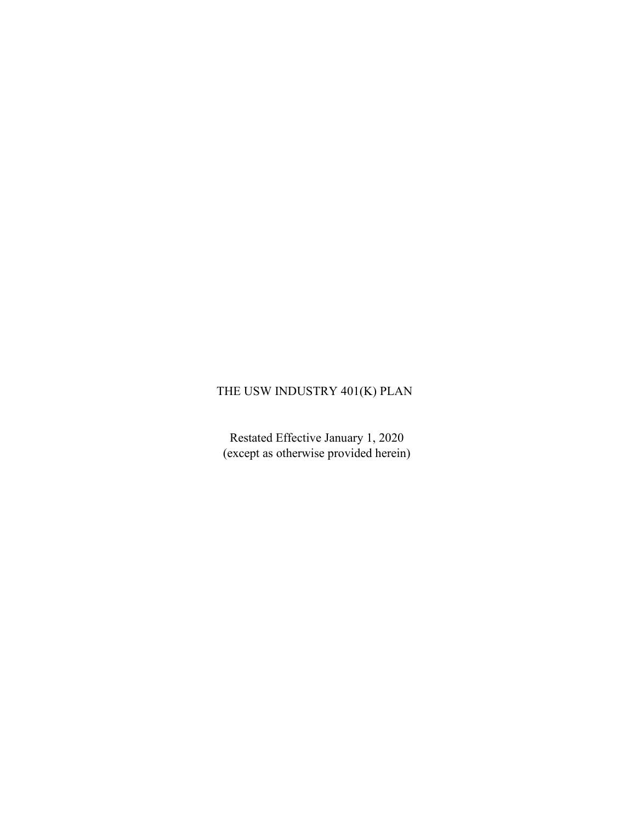# THE USW INDUSTRY 401(K) PLAN

Restated Effective January 1, 2020 (except as otherwise provided herein)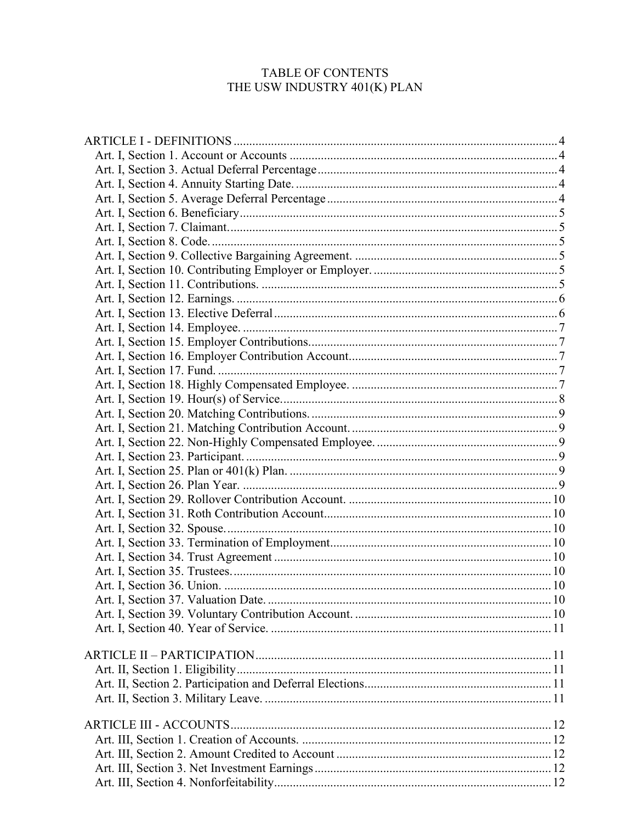# TABLE OF CONTENTS THE USW INDUSTRY 401(K) PLAN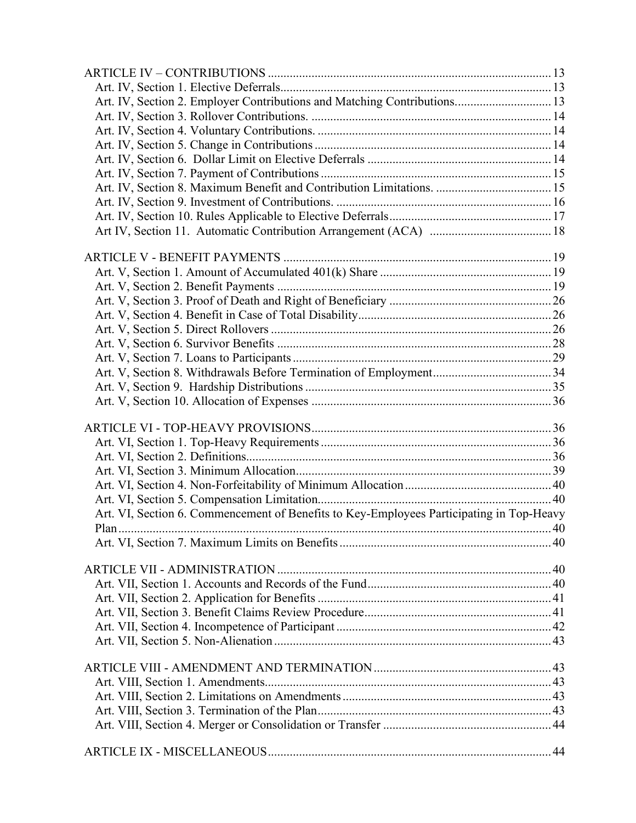| Art. IV, Section 2. Employer Contributions and Matching Contributions 13                 |  |
|------------------------------------------------------------------------------------------|--|
|                                                                                          |  |
|                                                                                          |  |
|                                                                                          |  |
|                                                                                          |  |
|                                                                                          |  |
| Art. IV, Section 8. Maximum Benefit and Contribution Limitations.  15                    |  |
|                                                                                          |  |
|                                                                                          |  |
|                                                                                          |  |
|                                                                                          |  |
|                                                                                          |  |
|                                                                                          |  |
|                                                                                          |  |
|                                                                                          |  |
|                                                                                          |  |
|                                                                                          |  |
|                                                                                          |  |
|                                                                                          |  |
|                                                                                          |  |
|                                                                                          |  |
|                                                                                          |  |
|                                                                                          |  |
|                                                                                          |  |
|                                                                                          |  |
|                                                                                          |  |
|                                                                                          |  |
|                                                                                          |  |
|                                                                                          |  |
|                                                                                          |  |
| Art. VI, Section 6. Commencement of Benefits to Key-Employees Participating in Top-Heavy |  |
|                                                                                          |  |
|                                                                                          |  |
|                                                                                          |  |
|                                                                                          |  |
|                                                                                          |  |
|                                                                                          |  |
|                                                                                          |  |
|                                                                                          |  |
|                                                                                          |  |
|                                                                                          |  |
|                                                                                          |  |
|                                                                                          |  |
|                                                                                          |  |
|                                                                                          |  |
|                                                                                          |  |
|                                                                                          |  |
|                                                                                          |  |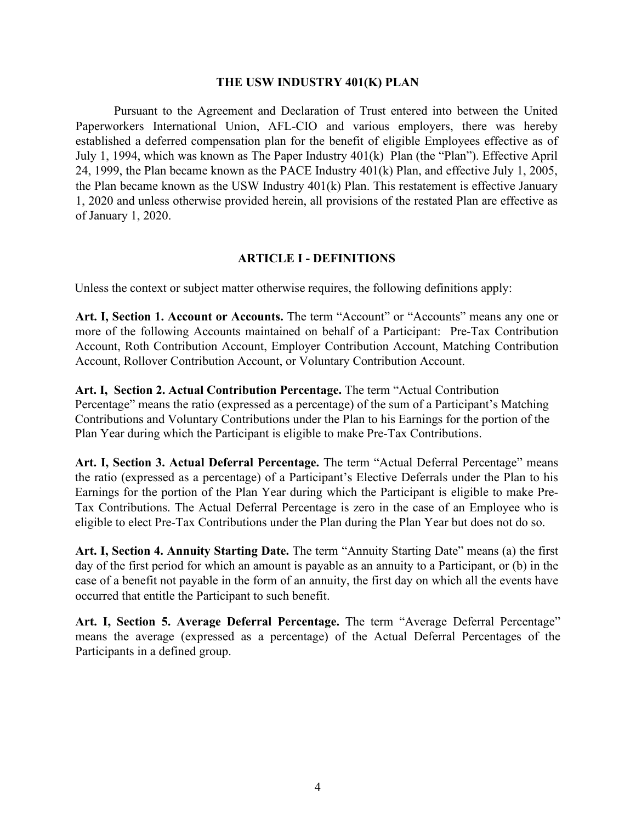#### **THE USW INDUSTRY 401(K) PLAN**

<span id="page-4-5"></span>Pursuant to the Agreement and Declaration of Trust entered into between the United Paperworkers International Union, AFL-CIO and various employers, there was hereby established a deferred compensation plan for the benefit of eligible Employees effective as of July 1, 1994, which was known as The Paper Industry 401(k) Plan (the "Plan"). Effective April 24, 1999, the Plan became known as the PACE Industry 401(k) Plan, and effective July 1, 2005, the Plan became known as the USW Industry 401(k) Plan. This restatement is effective January 1, 2020 and unless otherwise provided herein, all provisions of the restated Plan are effective as of January 1, 2020.

#### **ARTICLE I - DEFINITIONS**

<span id="page-4-1"></span><span id="page-4-0"></span>Unless the context or subject matter otherwise requires, the following definitions apply:

Art. I, Section 1. Account or Accounts. The term "Account" or "Accounts" means any one or more of the following Accounts maintained on behalf of a Participant: Pre-Tax Contribution Account, Roth Contribution Account, Employer Contribution Account, Matching Contribution Account, Rollover Contribution Account, or Voluntary Contribution Account.

**Art. I, Section 2. Actual Contribution Percentage.** The term "Actual Contribution Percentage" means the ratio (expressed as a percentage) of the sum of a Participant's Matching Contributions and Voluntary Contributions under the Plan to his Earnings for the portion of the Plan Year during which the Participant is eligible to make Pre-Tax Contributions.

<span id="page-4-2"></span>**Art. I, Section 3. Actual Deferral Percentage.** The term "Actual Deferral Percentage" means the ratio (expressed as a percentage) of a Participant's Elective Deferrals under the Plan to his Earnings for the portion of the Plan Year during which the Participant is eligible to make Pre-Tax Contributions. The Actual Deferral Percentage is zero in the case of an Employee who is eligible to elect Pre-Tax Contributions under the Plan during the Plan Year but does not do so.

<span id="page-4-3"></span>**Art. I, Section 4. Annuity Starting Date.** The term "Annuity Starting Date" means (a) the first day of the first period for which an amount is payable as an annuity to a Participant, or (b) in the case of a benefit not payable in the form of an annuity, the first day on which all the events have occurred that entitle the Participant to such benefit.

<span id="page-4-4"></span>**Art. I, Section 5. Average Deferral Percentage.** The term "Average Deferral Percentage" means the average (expressed as a percentage) of the Actual Deferral Percentages of the Participants in a defined group.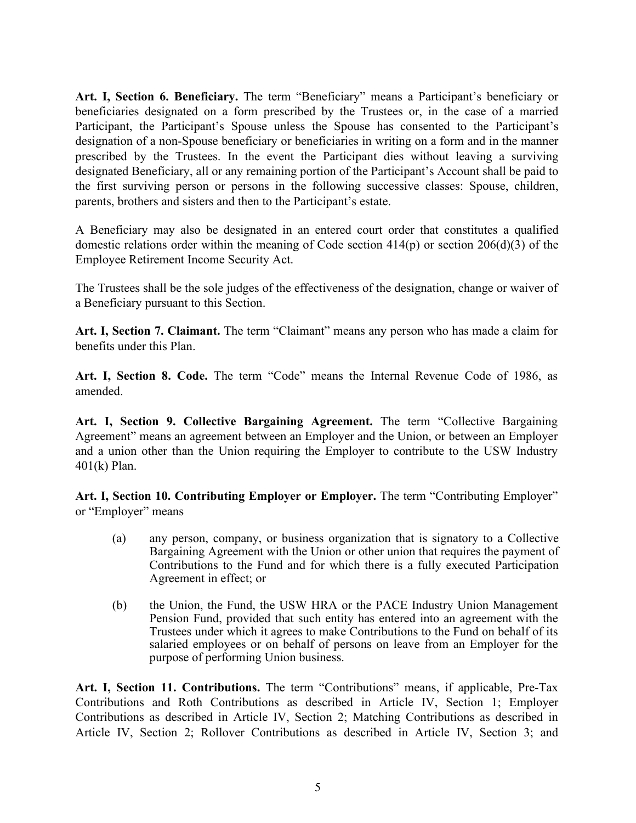<span id="page-5-6"></span><span id="page-5-0"></span>**Art. I, Section 6. Beneficiary.** The term "Beneficiary" means a Participant's beneficiary or beneficiaries designated on a form prescribed by the Trustees or, in the case of a married Participant, the Participant's Spouse unless the Spouse has consented to the Participant's designation of a non-Spouse beneficiary or beneficiaries in writing on a form and in the manner prescribed by the Trustees. In the event the Participant dies without leaving a surviving designated Beneficiary, all or any remaining portion of the Participant's Account shall be paid to the first surviving person or persons in the following successive classes: Spouse, children, parents, brothers and sisters and then to the Participant's estate.

A Beneficiary may also be designated in an entered court order that constitutes a qualified domestic relations order within the meaning of Code section  $414(p)$  or section  $206(d)(3)$  of the Employee Retirement Income Security Act.

The Trustees shall be the sole judges of the effectiveness of the designation, change or waiver of a Beneficiary pursuant to this Section.

<span id="page-5-1"></span>**Art. I, Section 7. Claimant.** The term "Claimant" means any person who has made a claim for benefits under this Plan.

<span id="page-5-2"></span>**Art. I, Section 8. Code.** The term "Code" means the Internal Revenue Code of 1986, as amended.

<span id="page-5-3"></span>**Art. I, Section 9. Collective Bargaining Agreement.** The term "Collective Bargaining Agreement" means an agreement between an Employer and the Union, or between an Employer and a union other than the Union requiring the Employer to contribute to the USW Industry 401(k) Plan.

<span id="page-5-4"></span>**Art. I, Section 10. Contributing Employer or Employer.** The term "Contributing Employer" or "Employer" means

- (a) any person, company, or business organization that is signatory to a Collective Bargaining Agreement with the Union or other union that requires the payment of Contributions to the Fund and for which there is a fully executed Participation Agreement in effect; or
- (b) the Union, the Fund, the USW HRA or the PACE Industry Union Management Pension Fund, provided that such entity has entered into an agreement with the Trustees under which it agrees to make Contributions to the Fund on behalf of its salaried employees or on behalf of persons on leave from an Employer for the purpose of performing Union business.

<span id="page-5-5"></span>**Art. I, Section 11. Contributions.** The term "Contributions" means, if applicable, Pre-Tax Contributions and Roth Contributions as described in Article IV, Section 1; Employer Contributions as described in Article IV, Section 2; Matching Contributions as described in Article IV, Section 2; Rollover Contributions as described in Article IV, Section 3; and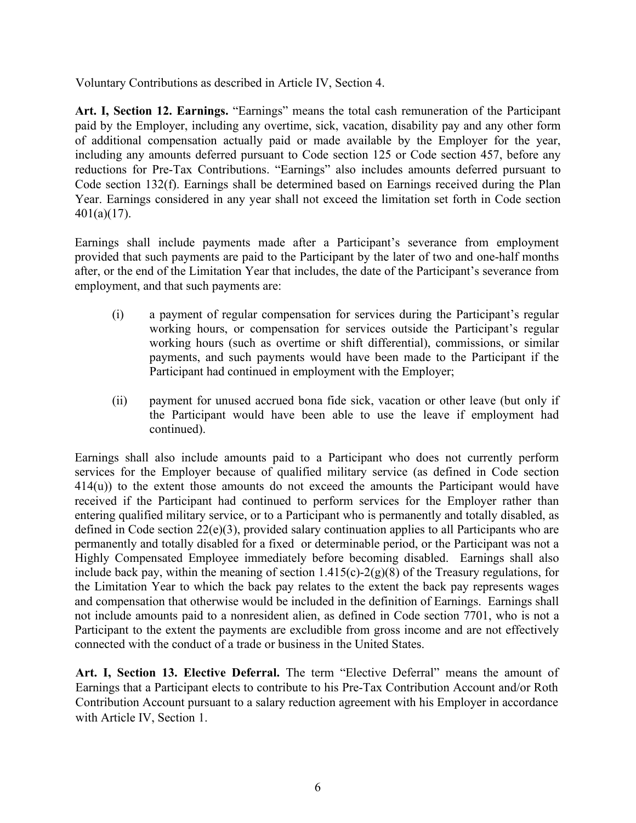<span id="page-6-2"></span>Voluntary Contributions as described in Article IV, Section 4.

<span id="page-6-0"></span>**Art. I, Section 12. Earnings.** "Earnings" means the total cash remuneration of the Participant paid by the Employer, including any overtime, sick, vacation, disability pay and any other form of additional compensation actually paid or made available by the Employer for the year, including any amounts deferred pursuant to Code section 125 or Code section 457, before any reductions for Pre-Tax Contributions. "Earnings" also includes amounts deferred pursuant to Code section 132(f). Earnings shall be determined based on Earnings received during the Plan Year. Earnings considered in any year shall not exceed the limitation set forth in Code section 401(a)(17).

Earnings shall include payments made after a Participant's severance from employment provided that such payments are paid to the Participant by the later of two and one-half months after, or the end of the Limitation Year that includes, the date of the Participant's severance from employment, and that such payments are:

- (i) a payment of regular compensation for services during the Participant's regular working hours, or compensation for services outside the Participant's regular working hours (such as overtime or shift differential), commissions, or similar payments, and such payments would have been made to the Participant if the Participant had continued in employment with the Employer;
- (ii) payment for unused accrued bona fide sick, vacation or other leave (but only if the Participant would have been able to use the leave if employment had continued).

Earnings shall also include amounts paid to a Participant who does not currently perform services for the Employer because of qualified military service (as defined in Code section 414(u)) to the extent those amounts do not exceed the amounts the Participant would have received if the Participant had continued to perform services for the Employer rather than entering qualified military service, or to a Participant who is permanently and totally disabled, as defined in Code section 22(e)(3), provided salary continuation applies to all Participants who are permanently and totally disabled for a fixed or determinable period, or the Participant was not a Highly Compensated Employee immediately before becoming disabled. Earnings shall also include back pay, within the meaning of section  $1.415(c) - 2(g)(8)$  of the Treasury regulations, for the Limitation Year to which the back pay relates to the extent the back pay represents wages and compensation that otherwise would be included in the definition of Earnings. Earnings shall not include amounts paid to a nonresident alien, as defined in Code section 7701, who is not a Participant to the extent the payments are excludible from gross income and are not effectively connected with the conduct of a trade or business in the United States.

<span id="page-6-1"></span>**Art. I, Section 13. Elective Deferral.** The term "Elective Deferral" means the amount of Earnings that a Participant elects to contribute to his Pre-Tax Contribution Account and/or Roth Contribution Account pursuant to a salary reduction agreement with his Employer in accordance with Article IV, Section 1.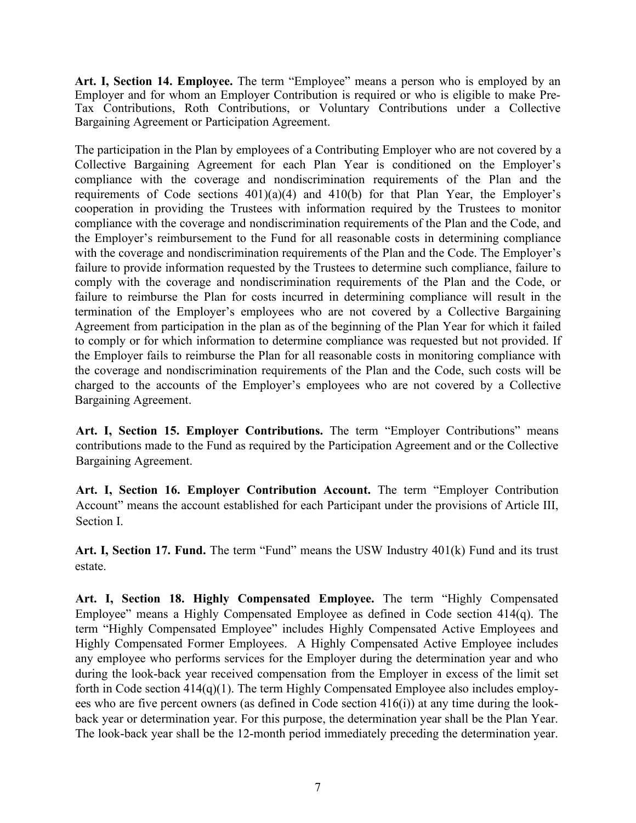<span id="page-7-5"></span><span id="page-7-0"></span>**Art. I, Section 14. Employee.** The term "Employee" means a person who is employed by an Employer and for whom an Employer Contribution is required or who is eligible to make Pre-Tax Contributions, Roth Contributions, or Voluntary Contributions under a Collective Bargaining Agreement or Participation Agreement.

The participation in the Plan by employees of a Contributing Employer who are not covered by a Collective Bargaining Agreement for each Plan Year is conditioned on the Employer's compliance with the coverage and nondiscrimination requirements of the Plan and the requirements of Code sections  $401(a)(4)$  and  $410(b)$  for that Plan Year, the Employer's cooperation in providing the Trustees with information required by the Trustees to monitor compliance with the coverage and nondiscrimination requirements of the Plan and the Code, and the Employer's reimbursement to the Fund for all reasonable costs in determining compliance with the coverage and nondiscrimination requirements of the Plan and the Code. The Employer's failure to provide information requested by the Trustees to determine such compliance, failure to comply with the coverage and nondiscrimination requirements of the Plan and the Code, or failure to reimburse the Plan for costs incurred in determining compliance will result in the termination of the Employer's employees who are not covered by a Collective Bargaining Agreement from participation in the plan as of the beginning of the Plan Year for which it failed to comply or for which information to determine compliance was requested but not provided. If the Employer fails to reimburse the Plan for all reasonable costs in monitoring compliance with the coverage and nondiscrimination requirements of the Plan and the Code, such costs will be charged to the accounts of the Employer's employees who are not covered by a Collective Bargaining Agreement.

<span id="page-7-1"></span>**Art. I, Section 15. Employer Contributions.** The term "Employer Contributions" means contributions made to the Fund as required by the Participation Agreement and or the Collective Bargaining Agreement.

<span id="page-7-2"></span>**Art. I, Section 16. Employer Contribution Account.** The term "Employer Contribution Account" means the account established for each Participant under the provisions of Article III, Section I.

<span id="page-7-3"></span>**Art. I, Section 17. Fund.** The term "Fund" means the USW Industry 401(k) Fund and its trust estate.

<span id="page-7-4"></span>**Art. I, Section 18. Highly Compensated Employee.** The term "Highly Compensated Employee" means a Highly Compensated Employee as defined in Code section 414(q). The term "Highly Compensated Employee" includes Highly Compensated Active Employees and Highly Compensated Former Employees. A Highly Compensated Active Employee includes any employee who performs services for the Employer during the determination year and who during the look-back year received compensation from the Employer in excess of the limit set forth in Code section 414(q)(1). The term Highly Compensated Employee also includes employees who are five percent owners (as defined in Code section 416(i)) at any time during the lookback year or determination year. For this purpose, the determination year shall be the Plan Year. The look-back year shall be the 12-month period immediately preceding the determination year.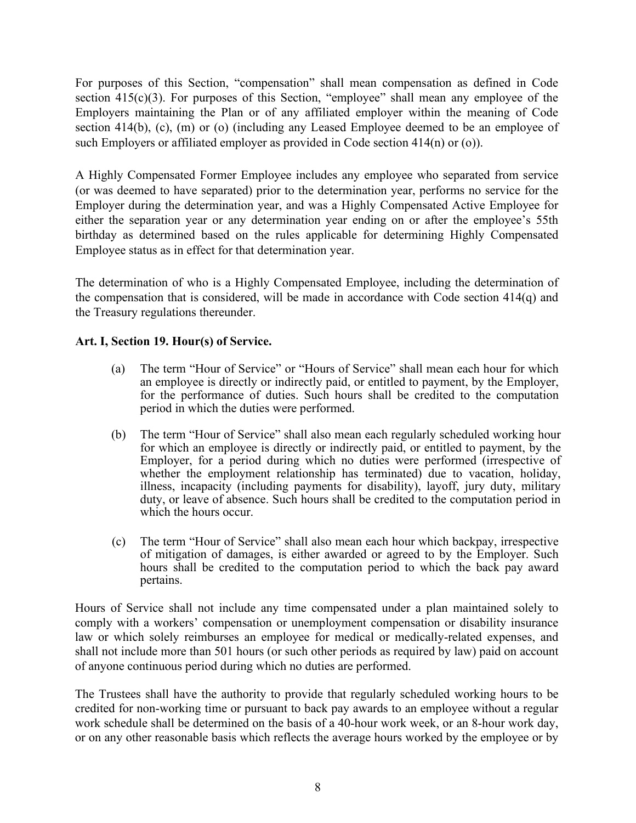<span id="page-8-1"></span>For purposes of this Section, "compensation" shall mean compensation as defined in Code section 415(c)(3). For purposes of this Section, "employee" shall mean any employee of the Employers maintaining the Plan or of any affiliated employer within the meaning of Code section 414(b), (c), (m) or (o) (including any Leased Employee deemed to be an employee of such Employers or affiliated employer as provided in Code section 414(n) or (o)).

A Highly Compensated Former Employee includes any employee who separated from service (or was deemed to have separated) prior to the determination year, performs no service for the Employer during the determination year, and was a Highly Compensated Active Employee for either the separation year or any determination year ending on or after the employee's 55th birthday as determined based on the rules applicable for determining Highly Compensated Employee status as in effect for that determination year.

The determination of who is a Highly Compensated Employee, including the determination of the compensation that is considered, will be made in accordance with Code section 414(q) and the Treasury regulations thereunder.

# <span id="page-8-0"></span>**Art. I, Section 19. Hour(s) of Service.**

- (a) The term "Hour of Service" or "Hours of Service" shall mean each hour for which an employee is directly or indirectly paid, or entitled to payment, by the Employer, for the performance of duties. Such hours shall be credited to the computation period in which the duties were performed.
- (b) The term "Hour of Service" shall also mean each regularly scheduled working hour for which an employee is directly or indirectly paid, or entitled to payment, by the Employer, for a period during which no duties were performed (irrespective of whether the employment relationship has terminated) due to vacation, holiday, illness, incapacity (including payments for disability), layoff, jury duty, military duty, or leave of absence. Such hours shall be credited to the computation period in which the hours occur.
- (c) The term "Hour of Service" shall also mean each hour which backpay, irrespective of mitigation of damages, is either awarded or agreed to by the Employer. Such hours shall be credited to the computation period to which the back pay award pertains.

Hours of Service shall not include any time compensated under a plan maintained solely to comply with a workers' compensation or unemployment compensation or disability insurance law or which solely reimburses an employee for medical or medically-related expenses, and shall not include more than 501 hours (or such other periods as required by law) paid on account of anyone continuous period during which no duties are performed.

The Trustees shall have the authority to provide that regularly scheduled working hours to be credited for non-working time or pursuant to back pay awards to an employee without a regular work schedule shall be determined on the basis of a 40-hour work week, or an 8-hour work day, or on any other reasonable basis which reflects the average hours worked by the employee or by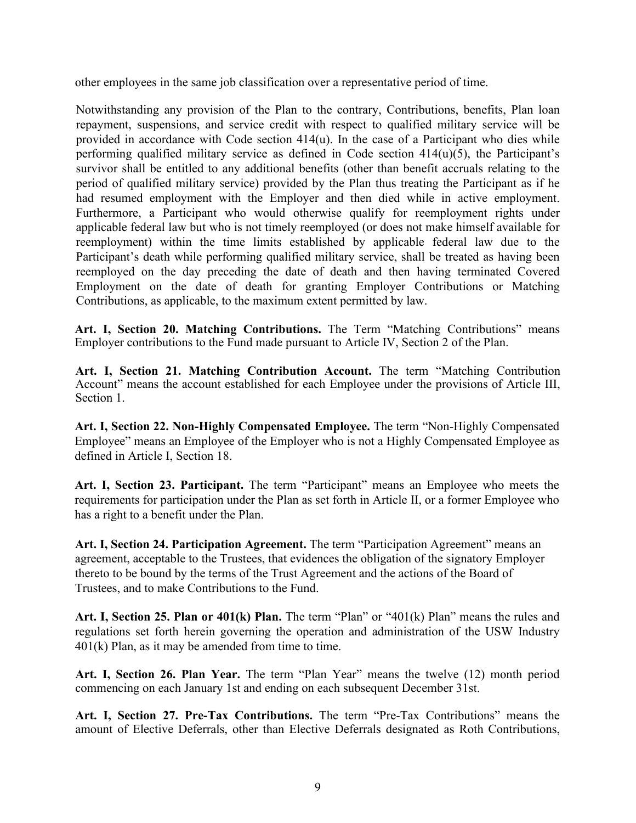<span id="page-9-6"></span>other employees in the same job classification over a representative period of time.

Notwithstanding any provision of the Plan to the contrary, Contributions, benefits, Plan loan repayment, suspensions, and service credit with respect to qualified military service will be provided in accordance with Code section 414(u). In the case of a Participant who dies while performing qualified military service as defined in Code section 414(u)(5), the Participant's survivor shall be entitled to any additional benefits (other than benefit accruals relating to the period of qualified military service) provided by the Plan thus treating the Participant as if he had resumed employment with the Employer and then died while in active employment. Furthermore, a Participant who would otherwise qualify for reemployment rights under applicable federal law but who is not timely reemployed (or does not make himself available for reemployment) within the time limits established by applicable federal law due to the Participant's death while performing qualified military service, shall be treated as having been reemployed on the day preceding the date of death and then having terminated Covered Employment on the date of death for granting Employer Contributions or Matching Contributions, as applicable, to the maximum extent permitted by law.

<span id="page-9-0"></span>**Art. I, Section 20. Matching Contributions.** The Term "Matching Contributions" means Employer contributions to the Fund made pursuant to Article IV, Section 2 of the Plan.

<span id="page-9-1"></span>**Art. I, Section 21. Matching Contribution Account.** The term "Matching Contribution Account" means the account established for each Employee under the provisions of Article III, Section 1.

<span id="page-9-2"></span>**Art. I, Section 22. Non-Highly Compensated Employee.** The term "Non-Highly Compensated Employee" means an Employee of the Employer who is not a Highly Compensated Employee as defined in Article I, Section 18.

<span id="page-9-3"></span>**Art. I, Section 23. Participant.** The term "Participant" means an Employee who meets the requirements for participation under the Plan as set forth in Article II, or a former Employee who has a right to a benefit under the Plan.

**Art. I, Section 24. Participation Agreement.** The term "Participation Agreement" means an agreement, acceptable to the Trustees, that evidences the obligation of the signatory Employer thereto to be bound by the terms of the Trust Agreement and the actions of the Board of Trustees, and to make Contributions to the Fund.

<span id="page-9-4"></span>**Art. I, Section 25. Plan or 401(k) Plan.** The term "Plan" or "401(k) Plan" means the rules and regulations set forth herein governing the operation and administration of the USW Industry 401(k) Plan, as it may be amended from time to time.

<span id="page-9-5"></span>**Art. I, Section 26. Plan Year.** The term "Plan Year" means the twelve (12) month period commencing on each January 1st and ending on each subsequent December 31st.

**Art. I, Section 27. Pre-Tax Contributions.** The term "Pre-Tax Contributions" means the amount of Elective Deferrals, other than Elective Deferrals designated as Roth Contributions,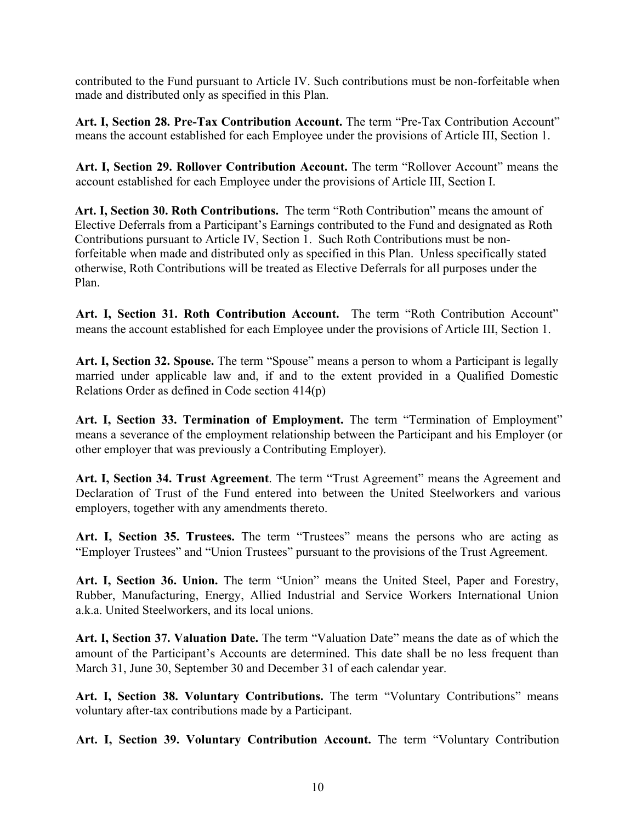<span id="page-10-9"></span>contributed to the Fund pursuant to Article IV. Such contributions must be non-forfeitable when made and distributed only as specified in this Plan.

**Art. I, Section 28. Pre-Tax Contribution Account.** The term "Pre-Tax Contribution Account" means the account established for each Employee under the provisions of Article III, Section 1.

<span id="page-10-0"></span>**Art. I, Section 29. Rollover Contribution Account.** The term "Rollover Account" means the account established for each Employee under the provisions of Article III, Section I.

**Art. I, Section 30. Roth Contributions.** The term "Roth Contribution" means the amount of Elective Deferrals from a Participant's Earnings contributed to the Fund and designated as Roth Contributions pursuant to Article IV, Section 1. Such Roth Contributions must be nonforfeitable when made and distributed only as specified in this Plan. Unless specifically stated otherwise, Roth Contributions will be treated as Elective Deferrals for all purposes under the Plan.

<span id="page-10-1"></span>**Art. I, Section 31. Roth Contribution Account.** The term "Roth Contribution Account" means the account established for each Employee under the provisions of Article III, Section 1.

<span id="page-10-2"></span>**Art. I, Section 32. Spouse.** The term "Spouse" means a person to whom a Participant is legally married under applicable law and, if and to the extent provided in a Qualified Domestic Relations Order as defined in Code section 414(p)

<span id="page-10-3"></span>**Art. I, Section 33. Termination of Employment.** The term "Termination of Employment" means a severance of the employment relationship between the Participant and his Employer (or other employer that was previously a Contributing Employer).

<span id="page-10-4"></span>**Art. I, Section 34. Trust Agreement**. The term "Trust Agreement" means the Agreement and Declaration of Trust of the Fund entered into between the United Steelworkers and various employers, together with any amendments thereto.

<span id="page-10-5"></span>**Art. I, Section 35. Trustees.** The term "Trustees" means the persons who are acting as "Employer Trustees" and "Union Trustees" pursuant to the provisions of the Trust Agreement.

<span id="page-10-6"></span>**Art. I, Section 36. Union.** The term "Union" means the United Steel, Paper and Forestry, Rubber, Manufacturing, Energy, Allied Industrial and Service Workers International Union a.k.a. United Steelworkers, and its local unions.

<span id="page-10-7"></span>**Art. I, Section 37. Valuation Date.** The term "Valuation Date" means the date as of which the amount of the Participant's Accounts are determined. This date shall be no less frequent than March 31, June 30, September 30 and December 31 of each calendar year.

**Art. I, Section 38. Voluntary Contributions.** The term "Voluntary Contributions" means voluntary after-tax contributions made by a Participant.

<span id="page-10-8"></span>**Art. I, Section 39. Voluntary Contribution Account.** The term "Voluntary Contribution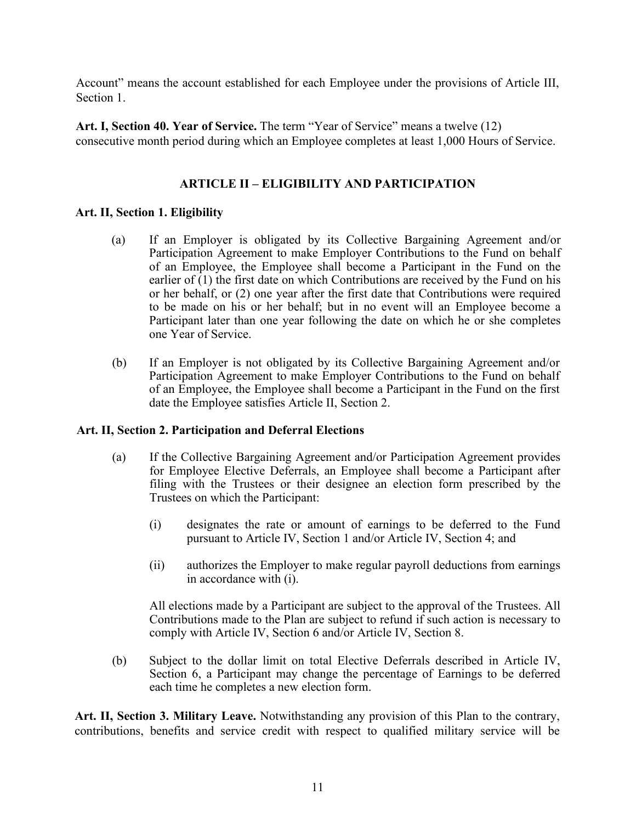<span id="page-11-5"></span>Account" means the account established for each Employee under the provisions of Article III, Section 1.

<span id="page-11-1"></span><span id="page-11-0"></span>**Art. I, Section 40. Year of Service.** The term "Year of Service" means a twelve (12) consecutive month period during which an Employee completes at least 1,000 Hours of Service.

# **ARTICLE II – ELIGIBILITY AND PARTICIPATION**

# <span id="page-11-2"></span>**Art. II, Section 1. Eligibility**

- (a) If an Employer is obligated by its Collective Bargaining Agreement and/or Participation Agreement to make Employer Contributions to the Fund on behalf of an Employee, the Employee shall become a Participant in the Fund on the earlier of (1) the first date on which Contributions are received by the Fund on his or her behalf, or (2) one year after the first date that Contributions were required to be made on his or her behalf; but in no event will an Employee become a Participant later than one year following the date on which he or she completes one Year of Service.
- (b) If an Employer is not obligated by its Collective Bargaining Agreement and/or Participation Agreement to make Employer Contributions to the Fund on behalf of an Employee, the Employee shall become a Participant in the Fund on the first date the Employee satisfies Article II, Section 2.

# <span id="page-11-3"></span>**Art. II, Section 2. Participation and Deferral Elections**

- (a) If the Collective Bargaining Agreement and/or Participation Agreement provides for Employee Elective Deferrals, an Employee shall become a Participant after filing with the Trustees or their designee an election form prescribed by the Trustees on which the Participant:
	- (i) designates the rate or amount of earnings to be deferred to the Fund pursuant to Article IV, Section 1 and/or Article IV, Section 4; and
	- (ii) authorizes the Employer to make regular payroll deductions from earnings in accordance with (i).

All elections made by a Participant are subject to the approval of the Trustees. All Contributions made to the Plan are subject to refund if such action is necessary to comply with Article IV, Section 6 and/or Article IV, Section 8.

(b) Subject to the dollar limit on total Elective Deferrals described in Article IV, Section 6, a Participant may change the percentage of Earnings to be deferred each time he completes a new election form.

<span id="page-11-4"></span>**Art. II, Section 3. Military Leave.** Notwithstanding any provision of this Plan to the contrary, contributions, benefits and service credit with respect to qualified military service will be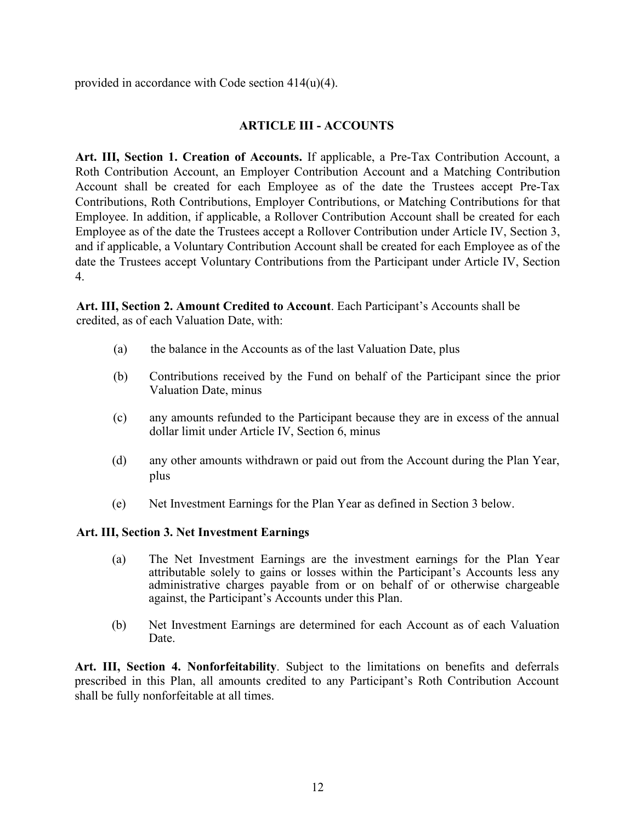<span id="page-12-5"></span><span id="page-12-0"></span>provided in accordance with Code section 414(u)(4).

# **ARTICLE III - ACCOUNTS**

<span id="page-12-1"></span>**Art. III, Section 1. Creation of Accounts.** If applicable, a Pre-Tax Contribution Account, a Roth Contribution Account, an Employer Contribution Account and a Matching Contribution Account shall be created for each Employee as of the date the Trustees accept Pre-Tax Contributions, Roth Contributions, Employer Contributions, or Matching Contributions for that Employee. In addition, if applicable, a Rollover Contribution Account shall be created for each Employee as of the date the Trustees accept a Rollover Contribution under Article IV, Section 3, and if applicable, a Voluntary Contribution Account shall be created for each Employee as of the date the Trustees accept Voluntary Contributions from the Participant under Article IV, Section 4.

<span id="page-12-2"></span>**Art. III, Section 2. Amount Credited to Account**. Each Participant's Accounts shall be credited, as of each Valuation Date, with:

- (a) the balance in the Accounts as of the last Valuation Date, plus
- (b) Contributions received by the Fund on behalf of the Participant since the prior Valuation Date, minus
- (c) any amounts refunded to the Participant because they are in excess of the annual dollar limit under Article IV, Section 6, minus
- (d) any other amounts withdrawn or paid out from the Account during the Plan Year, plus
- (e) Net Investment Earnings for the Plan Year as defined in Section 3 below.

#### <span id="page-12-3"></span>**Art. III, Section 3. Net Investment Earnings**

- (a) The Net Investment Earnings are the investment earnings for the Plan Year attributable solely to gains or losses within the Participant's Accounts less any administrative charges payable from or on behalf of or otherwise chargeable against, the Participant's Accounts under this Plan.
- (b) Net Investment Earnings are determined for each Account as of each Valuation Date.

<span id="page-12-4"></span>**Art. III, Section 4. Nonforfeitability**. Subject to the limitations on benefits and deferrals prescribed in this Plan, all amounts credited to any Participant's Roth Contribution Account shall be fully nonforfeitable at all times.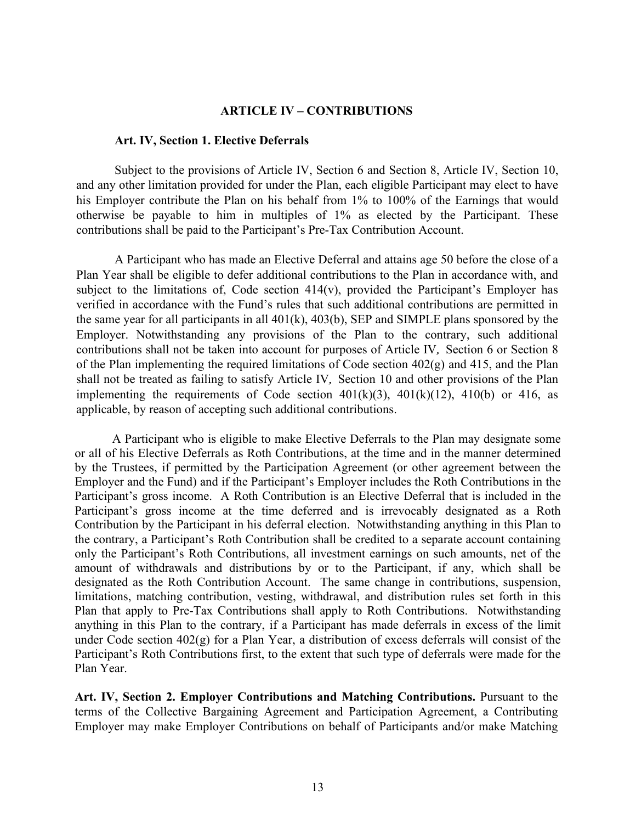#### **ARTICLE IV – CONTRIBUTIONS**

#### <span id="page-13-3"></span><span id="page-13-0"></span>**Art. IV, Section 1. Elective Deferrals**

<span id="page-13-1"></span>Subject to the provisions of Article IV, Section 6 and Section 8, Article IV, Section 10, and any other limitation provided for under the Plan, each eligible Participant may elect to have his Employer contribute the Plan on his behalf from 1% to 100% of the Earnings that would otherwise be payable to him in multiples of 1% as elected by the Participant. These contributions shall be paid to the Participant's Pre-Tax Contribution Account.

A Participant who has made an Elective Deferral and attains age 50 before the close of a Plan Year shall be eligible to defer additional contributions to the Plan in accordance with, and subject to the limitations of, Code section 414(v), provided the Participant's Employer has verified in accordance with the Fund's rules that such additional contributions are permitted in the same year for all participants in all 401(k), 403(b), SEP and SIMPLE plans sponsored by the Employer. Notwithstanding any provisions of the Plan to the contrary, such additional contributions shall not be taken into account for purposes of Article IV*,* Section 6 or Section 8 of the Plan implementing the required limitations of Code section 402(g) and 415, and the Plan shall not be treated as failing to satisfy Article IV*,* Section 10 and other provisions of the Plan implementing the requirements of Code section  $401(k)(3)$ ,  $401(k)(12)$ ,  $410(k)$  or 416, as applicable, by reason of accepting such additional contributions.

A Participant who is eligible to make Elective Deferrals to the Plan may designate some or all of his Elective Deferrals as Roth Contributions, at the time and in the manner determined by the Trustees, if permitted by the Participation Agreement (or other agreement between the Employer and the Fund) and if the Participant's Employer includes the Roth Contributions in the Participant's gross income. A Roth Contribution is an Elective Deferral that is included in the Participant's gross income at the time deferred and is irrevocably designated as a Roth Contribution by the Participant in his deferral election. Notwithstanding anything in this Plan to the contrary, a Participant's Roth Contribution shall be credited to a separate account containing only the Participant's Roth Contributions, all investment earnings on such amounts, net of the amount of withdrawals and distributions by or to the Participant, if any, which shall be designated as the Roth Contribution Account. The same change in contributions, suspension, limitations, matching contribution, vesting, withdrawal, and distribution rules set forth in this Plan that apply to Pre-Tax Contributions shall apply to Roth Contributions. Notwithstanding anything in this Plan to the contrary, if a Participant has made deferrals in excess of the limit under Code section 402(g) for a Plan Year, a distribution of excess deferrals will consist of the Participant's Roth Contributions first, to the extent that such type of deferrals were made for the Plan Year.

<span id="page-13-2"></span>**Art. IV, Section 2. Employer Contributions and Matching Contributions.** Pursuant to the terms of the Collective Bargaining Agreement and Participation Agreement, a Contributing Employer may make Employer Contributions on behalf of Participants and/or make Matching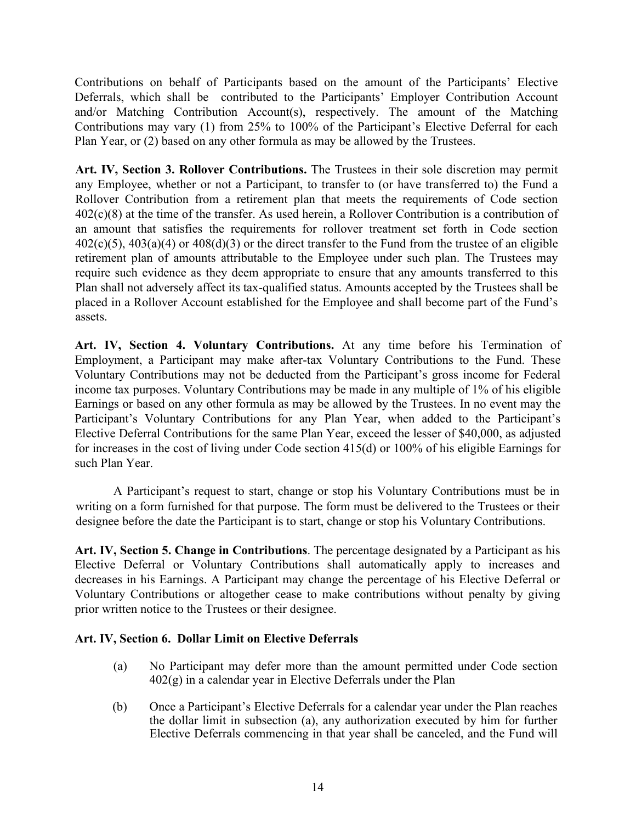<span id="page-14-4"></span>Contributions on behalf of Participants based on the amount of the Participants' Elective Deferrals, which shall be contributed to the Participants' Employer Contribution Account and/or Matching Contribution Account(s), respectively. The amount of the Matching Contributions may vary (1) from 25% to 100% of the Participant's Elective Deferral for each Plan Year, or (2) based on any other formula as may be allowed by the Trustees.

<span id="page-14-0"></span>**Art. IV, Section 3. Rollover Contributions.** The Trustees in their sole discretion may permit any Employee, whether or not a Participant, to transfer to (or have transferred to) the Fund a Rollover Contribution from a retirement plan that meets the requirements of Code section 402(c)(8) at the time of the transfer. As used herein, a Rollover Contribution is a contribution of an amount that satisfies the requirements for rollover treatment set forth in Code section  $402(c)(5)$ ,  $403(a)(4)$  or  $408(d)(3)$  or the direct transfer to the Fund from the trustee of an eligible retirement plan of amounts attributable to the Employee under such plan. The Trustees may require such evidence as they deem appropriate to ensure that any amounts transferred to this Plan shall not adversely affect its tax-qualified status. Amounts accepted by the Trustees shall be placed in a Rollover Account established for the Employee and shall become part of the Fund's assets.

<span id="page-14-1"></span>**Art. IV, Section 4. Voluntary Contributions.** At any time before his Termination of Employment, a Participant may make after-tax Voluntary Contributions to the Fund. These Voluntary Contributions may not be deducted from the Participant's gross income for Federal income tax purposes. Voluntary Contributions may be made in any multiple of 1% of his eligible Earnings or based on any other formula as may be allowed by the Trustees. In no event may the Participant's Voluntary Contributions for any Plan Year, when added to the Participant's Elective Deferral Contributions for the same Plan Year, exceed the lesser of \$40,000, as adjusted for increases in the cost of living under Code section 415(d) or 100% of his eligible Earnings for such Plan Year.

A Participant's request to start, change or stop his Voluntary Contributions must be in writing on a form furnished for that purpose. The form must be delivered to the Trustees or their designee before the date the Participant is to start, change or stop his Voluntary Contributions.

<span id="page-14-2"></span>**Art. IV, Section 5. Change in Contributions**. The percentage designated by a Participant as his Elective Deferral or Voluntary Contributions shall automatically apply to increases and decreases in his Earnings. A Participant may change the percentage of his Elective Deferral or Voluntary Contributions or altogether cease to make contributions without penalty by giving prior written notice to the Trustees or their designee.

# <span id="page-14-3"></span>**Art. IV, Section 6. Dollar Limit on Elective Deferrals**

- (a) No Participant may defer more than the amount permitted under Code section  $402(g)$  in a calendar year in Elective Deferrals under the Plan
- (b) Once a Participant's Elective Deferrals for a calendar year under the Plan reaches the dollar limit in subsection (a), any authorization executed by him for further Elective Deferrals commencing in that year shall be canceled, and the Fund will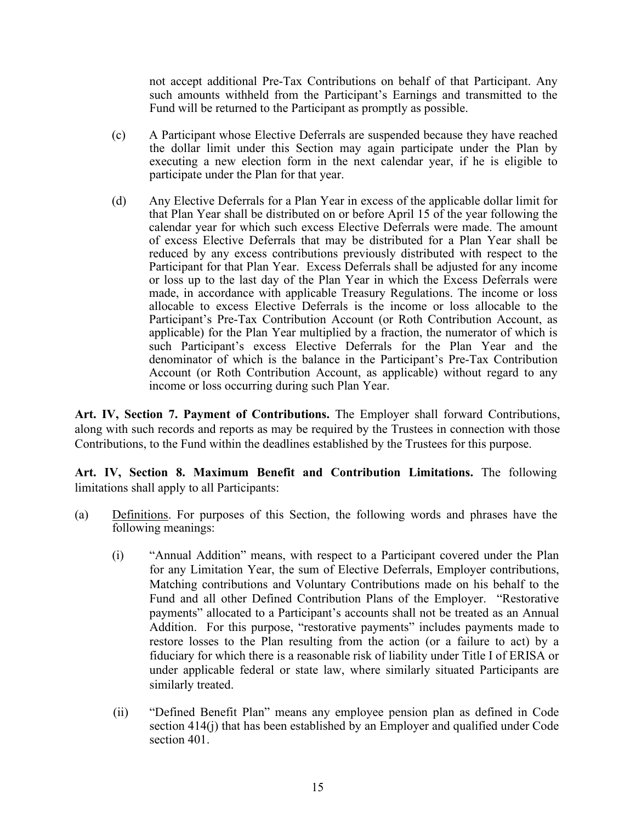<span id="page-15-2"></span>not accept additional Pre-Tax Contributions on behalf of that Participant. Any such amounts withheld from the Participant's Earnings and transmitted to the Fund will be returned to the Participant as promptly as possible.

- (c) A Participant whose Elective Deferrals are suspended because they have reached the dollar limit under this Section may again participate under the Plan by executing a new election form in the next calendar year, if he is eligible to participate under the Plan for that year.
- (d) Any Elective Deferrals for a Plan Year in excess of the applicable dollar limit for that Plan Year shall be distributed on or before April 15 of the year following the calendar year for which such excess Elective Deferrals were made. The amount of excess Elective Deferrals that may be distributed for a Plan Year shall be reduced by any excess contributions previously distributed with respect to the Participant for that Plan Year. Excess Deferrals shall be adjusted for any income or loss up to the last day of the Plan Year in which the Excess Deferrals were made, in accordance with applicable Treasury Regulations. The income or loss allocable to excess Elective Deferrals is the income or loss allocable to the Participant's Pre-Tax Contribution Account (or Roth Contribution Account, as applicable) for the Plan Year multiplied by a fraction, the numerator of which is such Participant's excess Elective Deferrals for the Plan Year and the denominator of which is the balance in the Participant's Pre-Tax Contribution Account (or Roth Contribution Account, as applicable) without regard to any income or loss occurring during such Plan Year.

<span id="page-15-0"></span>**Art. IV, Section 7. Payment of Contributions.** The Employer shall forward Contributions, along with such records and reports as may be required by the Trustees in connection with those Contributions, to the Fund within the deadlines established by the Trustees for this purpose.

<span id="page-15-1"></span>**Art. IV, Section 8. Maximum Benefit and Contribution Limitations.** The following limitations shall apply to all Participants:

- (a) Definitions. For purposes of this Section, the following words and phrases have the following meanings:
	- (i) "Annual Addition" means, with respect to a Participant covered under the Plan for any Limitation Year, the sum of Elective Deferrals, Employer contributions, Matching contributions and Voluntary Contributions made on his behalf to the Fund and all other Defined Contribution Plans of the Employer. "Restorative payments" allocated to a Participant's accounts shall not be treated as an Annual Addition. For this purpose, "restorative payments" includes payments made to restore losses to the Plan resulting from the action (or a failure to act) by a fiduciary for which there is a reasonable risk of liability under Title I of ERISA or under applicable federal or state law, where similarly situated Participants are similarly treated.
	- (ii) "Defined Benefit Plan" means any employee pension plan as defined in Code section 414(j) that has been established by an Employer and qualified under Code section 401.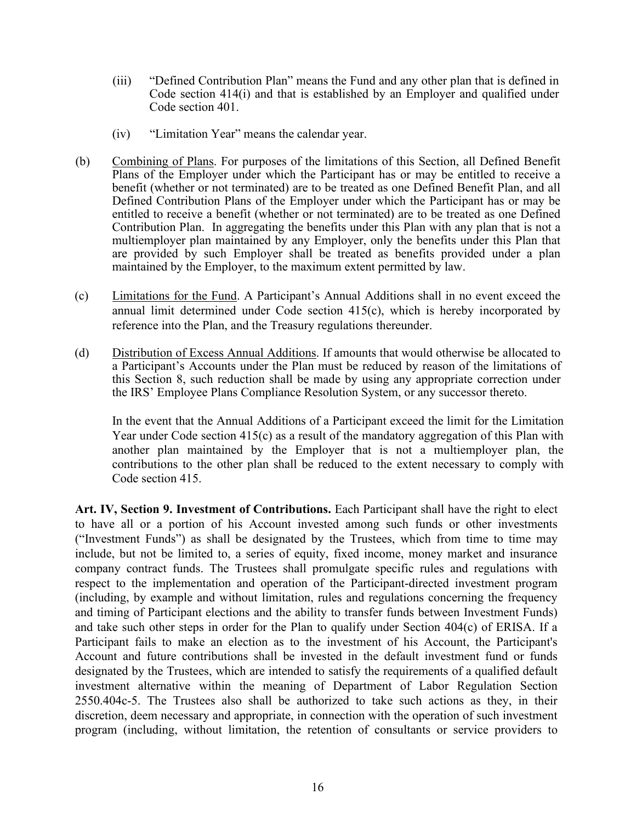- <span id="page-16-1"></span>(iii) "Defined Contribution Plan" means the Fund and any other plan that is defined in Code section 414(i) and that is established by an Employer and qualified under Code section 401.
- (iv) "Limitation Year" means the calendar year.
- (b) Combining of Plans. For purposes of the limitations of this Section, all Defined Benefit Plans of the Employer under which the Participant has or may be entitled to receive a benefit (whether or not terminated) are to be treated as one Defined Benefit Plan, and all Defined Contribution Plans of the Employer under which the Participant has or may be entitled to receive a benefit (whether or not terminated) are to be treated as one Defined Contribution Plan. In aggregating the benefits under this Plan with any plan that is not a multiemployer plan maintained by any Employer, only the benefits under this Plan that are provided by such Employer shall be treated as benefits provided under a plan maintained by the Employer, to the maximum extent permitted by law.
- (c) Limitations for the Fund. A Participant's Annual Additions shall in no event exceed the annual limit determined under Code section 415(c), which is hereby incorporated by reference into the Plan, and the Treasury regulations thereunder.
- (d) Distribution of Excess Annual Additions. If amounts that would otherwise be allocated to a Participant's Accounts under the Plan must be reduced by reason of the limitations of this Section 8, such reduction shall be made by using any appropriate correction under the IRS' Employee Plans Compliance Resolution System, or any successor thereto.

In the event that the Annual Additions of a Participant exceed the limit for the Limitation Year under Code section 415(c) as a result of the mandatory aggregation of this Plan with another plan maintained by the Employer that is not a multiemployer plan, the contributions to the other plan shall be reduced to the extent necessary to comply with Code section 415.

<span id="page-16-0"></span>**Art. IV, Section 9. Investment of Contributions.** Each Participant shall have the right to elect to have all or a portion of his Account invested among such funds or other investments ("Investment Funds") as shall be designated by the Trustees, which from time to time may include, but not be limited to, a series of equity, fixed income, money market and insurance company contract funds. The Trustees shall promulgate specific rules and regulations with respect to the implementation and operation of the Participant-directed investment program (including, by example and without limitation, rules and regulations concerning the frequency and timing of Participant elections and the ability to transfer funds between Investment Funds) and take such other steps in order for the Plan to qualify under Section 404(c) of ERISA. If a Participant fails to make an election as to the investment of his Account, the Participant's Account and future contributions shall be invested in the default investment fund or funds designated by the Trustees, which are intended to satisfy the requirements of a qualified default investment alternative within the meaning of Department of Labor Regulation Section 2550.404c-5. The Trustees also shall be authorized to take such actions as they, in their discretion, deem necessary and appropriate, in connection with the operation of such investment program (including, without limitation, the retention of consultants or service providers to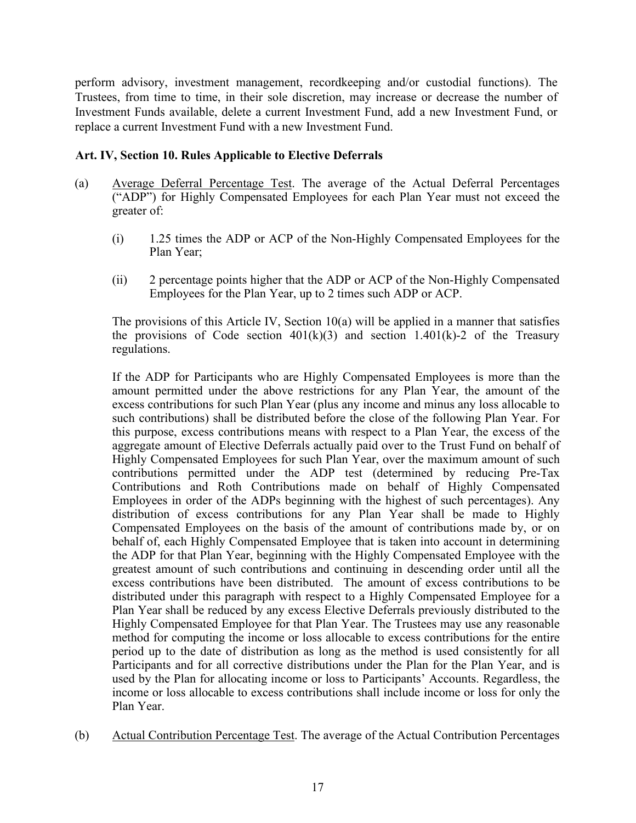<span id="page-17-1"></span>perform advisory, investment management, recordkeeping and/or custodial functions). The Trustees, from time to time, in their sole discretion, may increase or decrease the number of Investment Funds available, delete a current Investment Fund, add a new Investment Fund, or replace a current Investment Fund with a new Investment Fund.

# <span id="page-17-0"></span>**Art. IV, Section 10. Rules Applicable to Elective Deferrals**

- (a) Average Deferral Percentage Test. The average of the Actual Deferral Percentages ("ADP") for Highly Compensated Employees for each Plan Year must not exceed the greater of:
	- (i) 1.25 times the ADP or ACP of the Non-Highly Compensated Employees for the Plan Year;
	- (ii) 2 percentage points higher that the ADP or ACP of the Non-Highly Compensated Employees for the Plan Year, up to 2 times such ADP or ACP.

The provisions of this Article IV, Section 10(a) will be applied in a manner that satisfies the provisions of Code section  $401(k)(3)$  and section 1.401(k)-2 of the Treasury regulations.

If the ADP for Participants who are Highly Compensated Employees is more than the amount permitted under the above restrictions for any Plan Year, the amount of the excess contributions for such Plan Year (plus any income and minus any loss allocable to such contributions) shall be distributed before the close of the following Plan Year. For this purpose, excess contributions means with respect to a Plan Year, the excess of the aggregate amount of Elective Deferrals actually paid over to the Trust Fund on behalf of Highly Compensated Employees for such Plan Year, over the maximum amount of such contributions permitted under the ADP test (determined by reducing Pre-Tax Contributions and Roth Contributions made on behalf of Highly Compensated Employees in order of the ADPs beginning with the highest of such percentages). Any distribution of excess contributions for any Plan Year shall be made to Highly Compensated Employees on the basis of the amount of contributions made by, or on behalf of, each Highly Compensated Employee that is taken into account in determining the ADP for that Plan Year, beginning with the Highly Compensated Employee with the greatest amount of such contributions and continuing in descending order until all the excess contributions have been distributed. The amount of excess contributions to be distributed under this paragraph with respect to a Highly Compensated Employee for a Plan Year shall be reduced by any excess Elective Deferrals previously distributed to the Highly Compensated Employee for that Plan Year. The Trustees may use any reasonable method for computing the income or loss allocable to excess contributions for the entire period up to the date of distribution as long as the method is used consistently for all Participants and for all corrective distributions under the Plan for the Plan Year, and is used by the Plan for allocating income or loss to Participants' Accounts. Regardless, the income or loss allocable to excess contributions shall include income or loss for only the Plan Year.

(b) Actual Contribution Percentage Test. The average of the Actual Contribution Percentages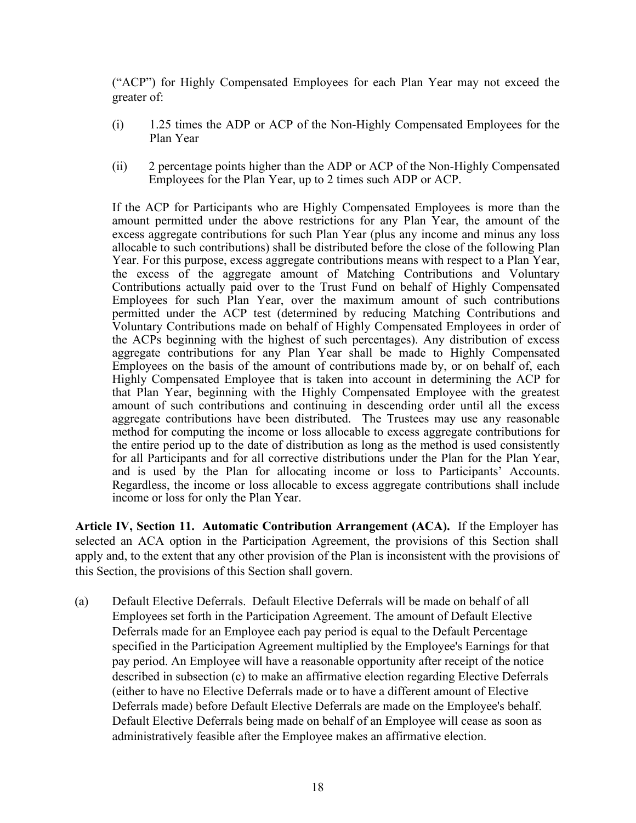<span id="page-18-1"></span>("ACP") for Highly Compensated Employees for each Plan Year may not exceed the greater of:

- (i) 1.25 times the ADP or ACP of the Non-Highly Compensated Employees for the Plan Year
- (ii) 2 percentage points higher than the ADP or ACP of the Non-Highly Compensated Employees for the Plan Year, up to 2 times such ADP or ACP.

If the ACP for Participants who are Highly Compensated Employees is more than the amount permitted under the above restrictions for any Plan Year, the amount of the excess aggregate contributions for such Plan Year (plus any income and minus any loss allocable to such contributions) shall be distributed before the close of the following Plan Year. For this purpose, excess aggregate contributions means with respect to a Plan Year, the excess of the aggregate amount of Matching Contributions and Voluntary Contributions actually paid over to the Trust Fund on behalf of Highly Compensated Employees for such Plan Year, over the maximum amount of such contributions permitted under the ACP test (determined by reducing Matching Contributions and Voluntary Contributions made on behalf of Highly Compensated Employees in order of the ACPs beginning with the highest of such percentages). Any distribution of excess aggregate contributions for any Plan Year shall be made to Highly Compensated Employees on the basis of the amount of contributions made by, or on behalf of, each Highly Compensated Employee that is taken into account in determining the ACP for that Plan Year, beginning with the Highly Compensated Employee with the greatest amount of such contributions and continuing in descending order until all the excess aggregate contributions have been distributed. The Trustees may use any reasonable method for computing the income or loss allocable to excess aggregate contributions for the entire period up to the date of distribution as long as the method is used consistently for all Participants and for all corrective distributions under the Plan for the Plan Year, and is used by the Plan for allocating income or loss to Participants' Accounts. Regardless, the income or loss allocable to excess aggregate contributions shall include income or loss for only the Plan Year.

<span id="page-18-0"></span>**Article IV, Section 11. Automatic Contribution Arrangement (ACA).** If the Employer has selected an ACA option in the Participation Agreement, the provisions of this Section shall apply and, to the extent that any other provision of the Plan is inconsistent with the provisions of this Section, the provisions of this Section shall govern.

(a) Default Elective Deferrals. Default Elective Deferrals will be made on behalf of all Employees set forth in the Participation Agreement. The amount of Default Elective Deferrals made for an Employee each pay period is equal to the Default Percentage specified in the Participation Agreement multiplied by the Employee's Earnings for that pay period. An Employee will have a reasonable opportunity after receipt of the notice described in subsection (c) to make an affirmative election regarding Elective Deferrals (either to have no Elective Deferrals made or to have a different amount of Elective Deferrals made) before Default Elective Deferrals are made on the Employee's behalf. Default Elective Deferrals being made on behalf of an Employee will cease as soon as administratively feasible after the Employee makes an affirmative election.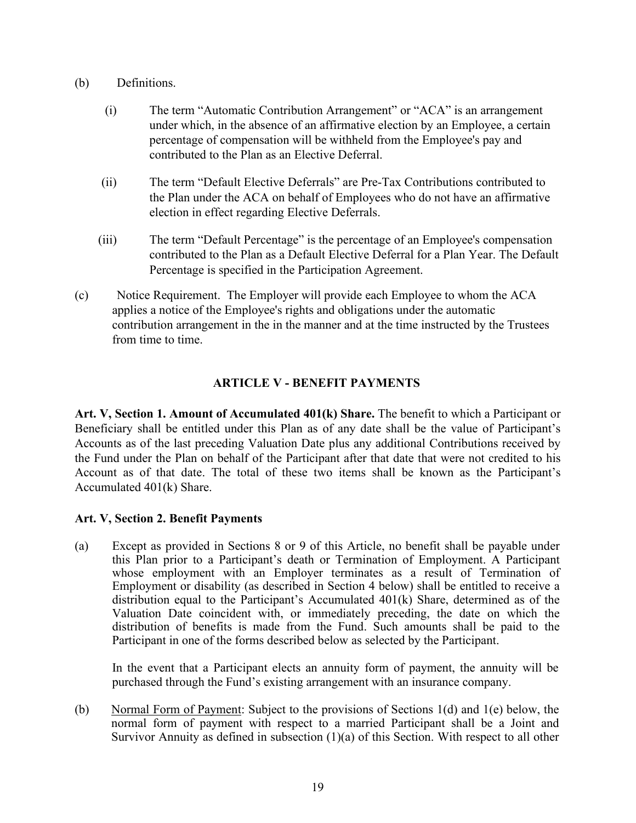# <span id="page-19-3"></span>(b) Definitions.

- (i) The term "Automatic Contribution Arrangement" or "ACA" is an arrangement under which, in the absence of an affirmative election by an Employee, a certain percentage of compensation will be withheld from the Employee's pay and contributed to the Plan as an Elective Deferral.
- (ii) The term "Default Elective Deferrals" are Pre-Tax Contributions contributed to the Plan under the ACA on behalf of Employees who do not have an affirmative election in effect regarding Elective Deferrals.
- (iii) The term "Default Percentage" is the percentage of an Employee's compensation contributed to the Plan as a Default Elective Deferral for a Plan Year. The Default Percentage is specified in the Participation Agreement.
- (c) Notice Requirement. The Employer will provide each Employee to whom the ACA applies a notice of the Employee's rights and obligations under the automatic contribution arrangement in the in the manner and at the time instructed by the Trustees from time to time.

# **ARTICLE V - BENEFIT PAYMENTS**

<span id="page-19-1"></span><span id="page-19-0"></span>**Art. V, Section 1. Amount of Accumulated 401(k) Share.** The benefit to which a Participant or Beneficiary shall be entitled under this Plan as of any date shall be the value of Participant's Accounts as of the last preceding Valuation Date plus any additional Contributions received by the Fund under the Plan on behalf of the Participant after that date that were not credited to his Account as of that date. The total of these two items shall be known as the Participant's Accumulated 401(k) Share.

# <span id="page-19-2"></span>**Art. V, Section 2. Benefit Payments**

(a) Except as provided in Sections 8 or 9 of this Article, no benefit shall be payable under this Plan prior to a Participant's death or Termination of Employment. A Participant whose employment with an Employer terminates as a result of Termination of Employment or disability (as described in Section 4 below) shall be entitled to receive a distribution equal to the Participant's Accumulated 401(k) Share, determined as of the Valuation Date coincident with, or immediately preceding, the date on which the distribution of benefits is made from the Fund. Such amounts shall be paid to the Participant in one of the forms described below as selected by the Participant.

In the event that a Participant elects an annuity form of payment, the annuity will be purchased through the Fund's existing arrangement with an insurance company.

(b) Normal Form of Payment: Subject to the provisions of Sections 1(d) and 1(e) below, the normal form of payment with respect to a married Participant shall be a Joint and Survivor Annuity as defined in subsection (1)(a) of this Section. With respect to all other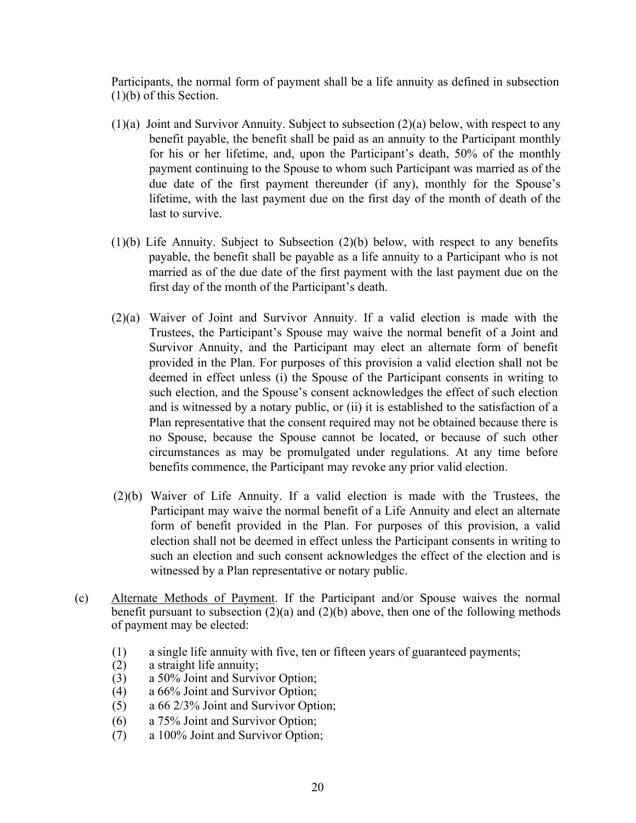Participants, the normal form of payment shall be a life annuity as defined in subsection (1)(b) of this Section.

- $(1)(a)$  Joint and Survivor Annuity. Subject to subsection  $(2)(a)$  below, with respect to any benefit payable, the benefit shall be paid as an annuity to the Participant monthly for his or her lifetime, and, upon the Participant's death, 50% of the monthly payment continuing to the Spouse to whom such Participant was married as of the due date of the first payment thereunder (if any), monthly for the Spouse's lifetime, with the last payment due on the first day of the month of death of the last to survive.
- (1)(b) Life Annuity. Subject to Subsection (2)(b) below, with respect to any benefits payable, the benefit shall be payable as a life annuity to a Participant who is not married as of the due date of the first payment with the last payment due on the first day of the month of the Participant's death.
- (2)(a) Waiver of Joint and Survivor Annuity. If a valid election is made with the Trustees, the Participant's Spouse may waive the normal benefit of a Joint and Survivor Annuity, and the Participant may elect an alternate form of benefit provided in the Plan. For purposes of this provision a valid election shall not be deemed in effect unless (i) the Spouse of the Participant consents in writing to such election, and the Spouse's consent acknowledges the effect of such election and is witnessed by a notary public, or (ii) it is established to the satisfaction of a Plan representative that the consent required may not be obtained because there is no Spouse, because the Spouse cannot be located, or because of such other circumstances as may be promulgated under regulations. At any time before benefits commence, the Participant may revoke any prior valid election.
- (2)(b) Waiver of Life Annuity. If a valid election is made with the Trustees, the Participant may waive the normal benefit of a Life Annuity and elect an alternate form of benefit provided in the Plan. For purposes of this provision, a valid election shall not be deemed in effect unless the Participant consents in writing to such an election and such consent acknowledges the effect of the election and is witnessed by a Plan representative or notary public.
- (c) Alternate Methods of Payment. If the Participant and/or Spouse waives the normal benefit pursuant to subsection  $(2)(a)$  and  $(2)(b)$  above, then one of the following methods of payment may be elected:
	- (1) a single life annuity with five, ten or fifteen years of guaranteed payments;<br>(2) a straight life annuity;
	- (2) a straight life annuity;<br>(3) a  $50\%$  Joint and Survi
	- a 50% Joint and Survivor Option;
	- (4) a 66% Joint and Survivor Option;
	- (5) a 66 2/3% Joint and Survivor Option;
	- (6) a 75% Joint and Survivor Option;
	- (7) a 100% Joint and Survivor Option;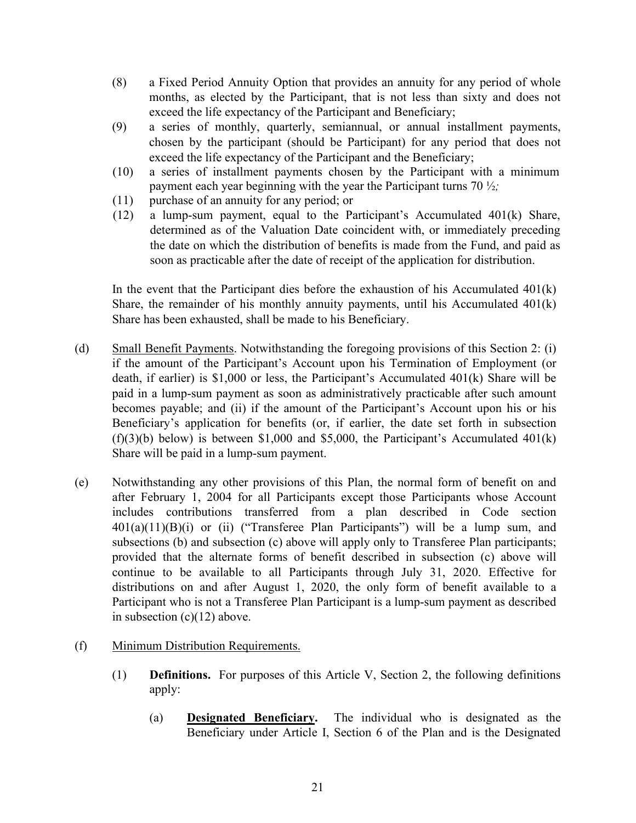- (8) a Fixed Period Annuity Option that provides an annuity for any period of whole months, as elected by the Participant, that is not less than sixty and does not exceed the life expectancy of the Participant and Beneficiary;
- (9) a series of monthly, quarterly, semiannual, or annual installment payments, chosen by the participant (should be Participant) for any period that does not exceed the life expectancy of the Participant and the Beneficiary;
- (10) a series of installment payments chosen by the Participant with a minimum payment each year beginning with the year the Participant turns 70 ½*;*
- (11) purchase of an annuity for any period; or
- (12) a lump-sum payment, equal to the Participant's Accumulated 401(k) Share, determined as of the Valuation Date coincident with, or immediately preceding the date on which the distribution of benefits is made from the Fund, and paid as soon as practicable after the date of receipt of the application for distribution.

In the event that the Participant dies before the exhaustion of his Accumulated  $401(k)$ Share, the remainder of his monthly annuity payments, until his Accumulated 401(k) Share has been exhausted, shall be made to his Beneficiary.

- (d) Small Benefit Payments. Notwithstanding the foregoing provisions of this Section 2: (i) if the amount of the Participant's Account upon his Termination of Employment (or death, if earlier) is \$1,000 or less, the Participant's Accumulated 401(k) Share will be paid in a lump-sum payment as soon as administratively practicable after such amount becomes payable; and (ii) if the amount of the Participant's Account upon his or his Beneficiary's application for benefits (or, if earlier, the date set forth in subsection  $(f)(3)(b)$  below) is between \$1,000 and \$5,000, the Participant's Accumulated 401(k) Share will be paid in a lump-sum payment.
- (e) Notwithstanding any other provisions of this Plan, the normal form of benefit on and after February 1, 2004 for all Participants except those Participants whose Account includes contributions transferred from a plan described in Code section  $401(a)(11)(B)(i)$  or (ii) ("Transferee Plan Participants") will be a lump sum, and subsections (b) and subsection (c) above will apply only to Transferee Plan participants; provided that the alternate forms of benefit described in subsection (c) above will continue to be available to all Participants through July 31, 2020. Effective for distributions on and after August 1, 2020, the only form of benefit available to a Participant who is not a Transferee Plan Participant is a lump-sum payment as described in subsection  $(c)(12)$  above.
- (f) Minimum Distribution Requirements.
	- (1) **Definitions.** For purposes of this Article V, Section 2, the following definitions apply:
		- (a) **Designated Beneficiary.** The individual who is designated as the Beneficiary under Article I, Section 6 of the Plan and is the Designated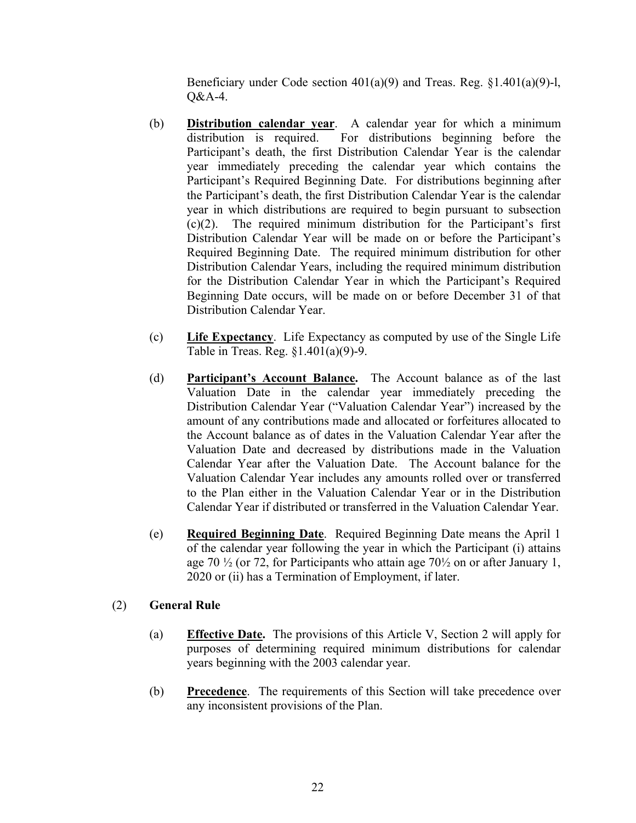Beneficiary under Code section 401(a)(9) and Treas. Reg. §1.401(a)(9)-l, Q&A-4.

- (b) **Distribution calendar year**. A calendar year for which a minimum distribution is required. For distributions beginning before the Participant's death, the first Distribution Calendar Year is the calendar year immediately preceding the calendar year which contains the Participant's Required Beginning Date. For distributions beginning after the Participant's death, the first Distribution Calendar Year is the calendar year in which distributions are required to begin pursuant to subsection (c)(2). The required minimum distribution for the Participant's first Distribution Calendar Year will be made on or before the Participant's Required Beginning Date. The required minimum distribution for other Distribution Calendar Years, including the required minimum distribution for the Distribution Calendar Year in which the Participant's Required Beginning Date occurs, will be made on or before December 31 of that Distribution Calendar Year.
- (c) **Life Expectancy**. Life Expectancy as computed by use of the Single Life Table in Treas. Reg. §1.401(a)(9)-9.
- (d) **Participant's Account Balance.** The Account balance as of the last Valuation Date in the calendar year immediately preceding the Distribution Calendar Year ("Valuation Calendar Year") increased by the amount of any contributions made and allocated or forfeitures allocated to the Account balance as of dates in the Valuation Calendar Year after the Valuation Date and decreased by distributions made in the Valuation Calendar Year after the Valuation Date. The Account balance for the Valuation Calendar Year includes any amounts rolled over or transferred to the Plan either in the Valuation Calendar Year or in the Distribution Calendar Year if distributed or transferred in the Valuation Calendar Year.
- (e) **Required Beginning Date**. Required Beginning Date means the April 1 of the calendar year following the year in which the Participant (i) attains age 70  $\frac{1}{2}$  (or 72, for Participants who attain age 70 $\frac{1}{2}$  on or after January 1, 2020 or (ii) has a Termination of Employment, if later.

# (2) **General Rule**

- (a) **Effective Date.** The provisions of this Article V, Section 2 will apply for purposes of determining required minimum distributions for calendar years beginning with the 2003 calendar year.
- (b) **Precedence**. The requirements of this Section will take precedence over any inconsistent provisions of the Plan.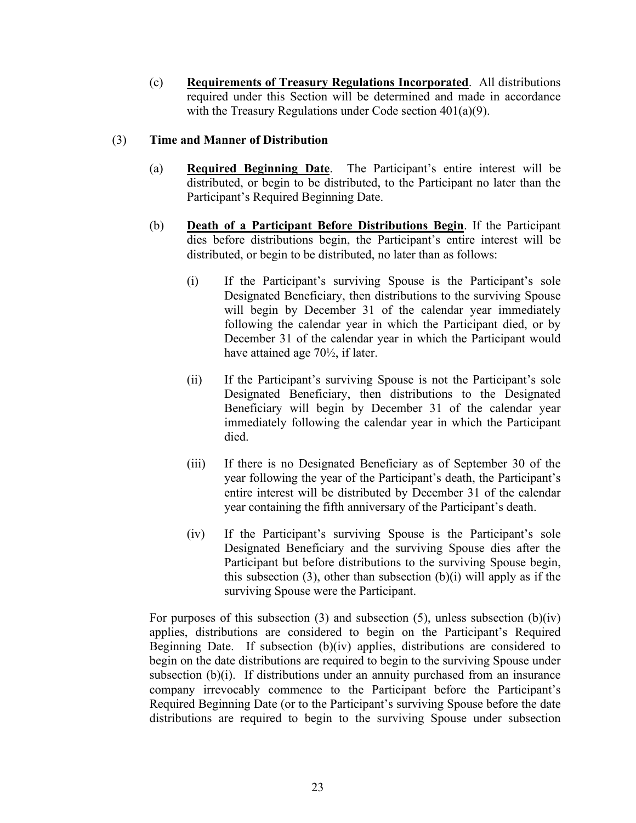(c) **Requirements of Treasury Regulations Incorporated**. All distributions required under this Section will be determined and made in accordance with the Treasury Regulations under Code section 401(a)(9).

# (3) **Time and Manner of Distribution**

- (a) **Required Beginning Date**. The Participant's entire interest will be distributed, or begin to be distributed, to the Participant no later than the Participant's Required Beginning Date.
- (b) **Death of a Participant Before Distributions Begin**. If the Participant dies before distributions begin, the Participant's entire interest will be distributed, or begin to be distributed, no later than as follows:
	- (i) If the Participant's surviving Spouse is the Participant's sole Designated Beneficiary, then distributions to the surviving Spouse will begin by December 31 of the calendar year immediately following the calendar year in which the Participant died, or by December 31 of the calendar year in which the Participant would have attained age 70½, if later.
	- (ii) If the Participant's surviving Spouse is not the Participant's sole Designated Beneficiary, then distributions to the Designated Beneficiary will begin by December 31 of the calendar year immediately following the calendar year in which the Participant died.
	- (iii) If there is no Designated Beneficiary as of September 30 of the year following the year of the Participant's death, the Participant's entire interest will be distributed by December 31 of the calendar year containing the fifth anniversary of the Participant's death.
	- (iv) If the Participant's surviving Spouse is the Participant's sole Designated Beneficiary and the surviving Spouse dies after the Participant but before distributions to the surviving Spouse begin, this subsection  $(3)$ , other than subsection  $(b)(i)$  will apply as if the surviving Spouse were the Participant.

For purposes of this subsection (3) and subsection (5), unless subsection  $(b)(iv)$ applies, distributions are considered to begin on the Participant's Required Beginning Date. If subsection (b)(iv) applies, distributions are considered to begin on the date distributions are required to begin to the surviving Spouse under subsection (b)(i). If distributions under an annuity purchased from an insurance company irrevocably commence to the Participant before the Participant's Required Beginning Date (or to the Participant's surviving Spouse before the date distributions are required to begin to the surviving Spouse under subsection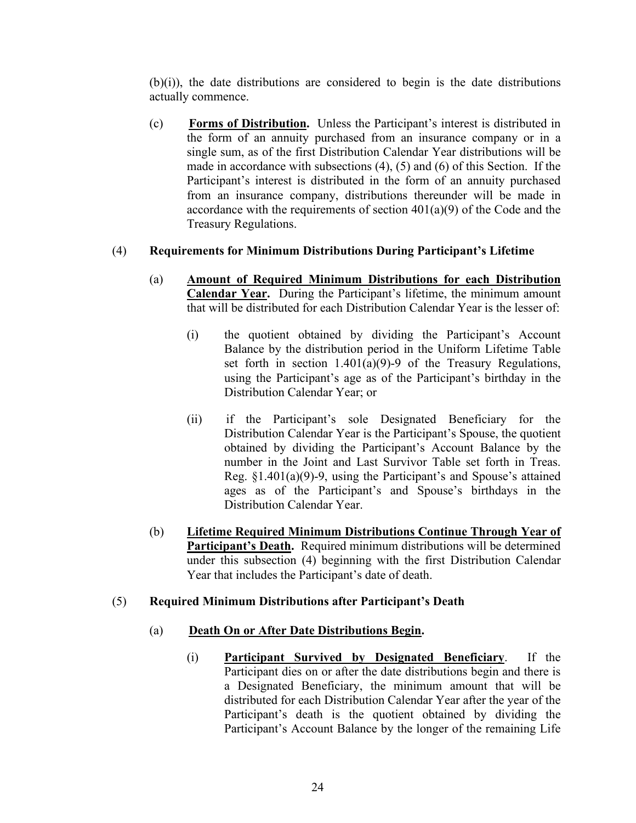(b)(i)), the date distributions are considered to begin is the date distributions actually commence.

(c) **Forms of Distribution.** Unless the Participant's interest is distributed in the form of an annuity purchased from an insurance company or in a single sum, as of the first Distribution Calendar Year distributions will be made in accordance with subsections (4), (5) and (6) of this Section. If the Participant's interest is distributed in the form of an annuity purchased from an insurance company, distributions thereunder will be made in accordance with the requirements of section  $401(a)(9)$  of the Code and the Treasury Regulations.

# (4) **Requirements for Minimum Distributions During Participant's Lifetime**

- (a) **Amount of Required Minimum Distributions for each Distribution Calendar Year.** During the Participant's lifetime, the minimum amount that will be distributed for each Distribution Calendar Year is the lesser of:
	- (i) the quotient obtained by dividing the Participant's Account Balance by the distribution period in the Uniform Lifetime Table set forth in section 1.401(a)(9)-9 of the Treasury Regulations, using the Participant's age as of the Participant's birthday in the Distribution Calendar Year; or
	- (ii) if the Participant's sole Designated Beneficiary for the Distribution Calendar Year is the Participant's Spouse, the quotient obtained by dividing the Participant's Account Balance by the number in the Joint and Last Survivor Table set forth in Treas. Reg. §1.401(a)(9)-9, using the Participant's and Spouse's attained ages as of the Participant's and Spouse's birthdays in the Distribution Calendar Year.
- (b) **Lifetime Required Minimum Distributions Continue Through Year of Participant's Death.** Required minimum distributions will be determined under this subsection (4) beginning with the first Distribution Calendar Year that includes the Participant's date of death.

#### (5) **Required Minimum Distributions after Participant's Death**

#### (a) **Death On or After Date Distributions Begin.**

(i) **Participant Survived by Designated Beneficiary**. If the Participant dies on or after the date distributions begin and there is a Designated Beneficiary, the minimum amount that will be distributed for each Distribution Calendar Year after the year of the Participant's death is the quotient obtained by dividing the Participant's Account Balance by the longer of the remaining Life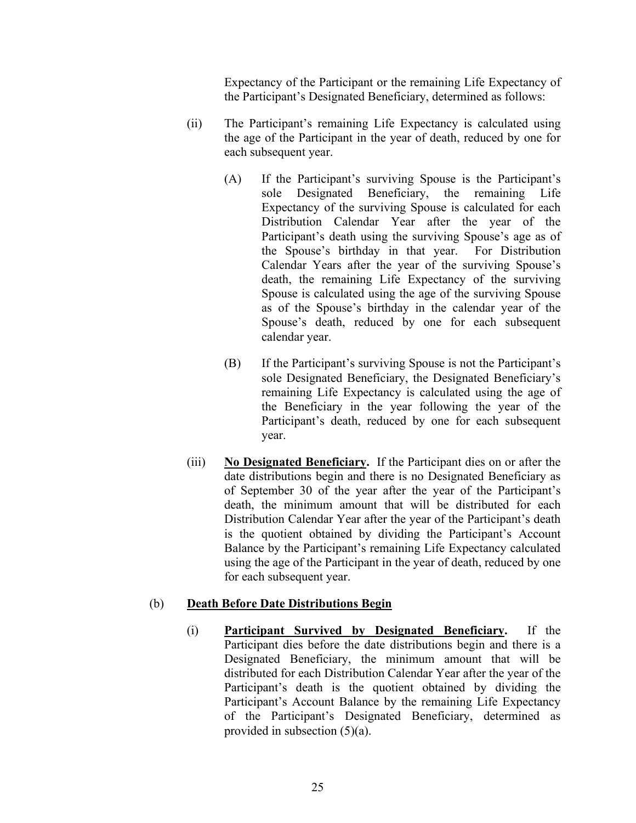Expectancy of the Participant or the remaining Life Expectancy of the Participant's Designated Beneficiary, determined as follows:

- (ii) The Participant's remaining Life Expectancy is calculated using the age of the Participant in the year of death, reduced by one for each subsequent year.
	- (A) If the Participant's surviving Spouse is the Participant's sole Designated Beneficiary, the remaining Life Expectancy of the surviving Spouse is calculated for each Distribution Calendar Year after the year of the Participant's death using the surviving Spouse's age as of the Spouse's birthday in that year. For Distribution Calendar Years after the year of the surviving Spouse's death, the remaining Life Expectancy of the surviving Spouse is calculated using the age of the surviving Spouse as of the Spouse's birthday in the calendar year of the Spouse's death, reduced by one for each subsequent calendar year.
	- (B) If the Participant's surviving Spouse is not the Participant's sole Designated Beneficiary, the Designated Beneficiary's remaining Life Expectancy is calculated using the age of the Beneficiary in the year following the year of the Participant's death, reduced by one for each subsequent year.
- (iii) **No Designated Beneficiary.** If the Participant dies on or after the date distributions begin and there is no Designated Beneficiary as of September 30 of the year after the year of the Participant's death, the minimum amount that will be distributed for each Distribution Calendar Year after the year of the Participant's death is the quotient obtained by dividing the Participant's Account Balance by the Participant's remaining Life Expectancy calculated using the age of the Participant in the year of death, reduced by one for each subsequent year.

# (b) **Death Before Date Distributions Begin**

(i) **Participant Survived by Designated Beneficiary.** If the Participant dies before the date distributions begin and there is a Designated Beneficiary, the minimum amount that will be distributed for each Distribution Calendar Year after the year of the Participant's death is the quotient obtained by dividing the Participant's Account Balance by the remaining Life Expectancy of the Participant's Designated Beneficiary, determined as provided in subsection (5)(a).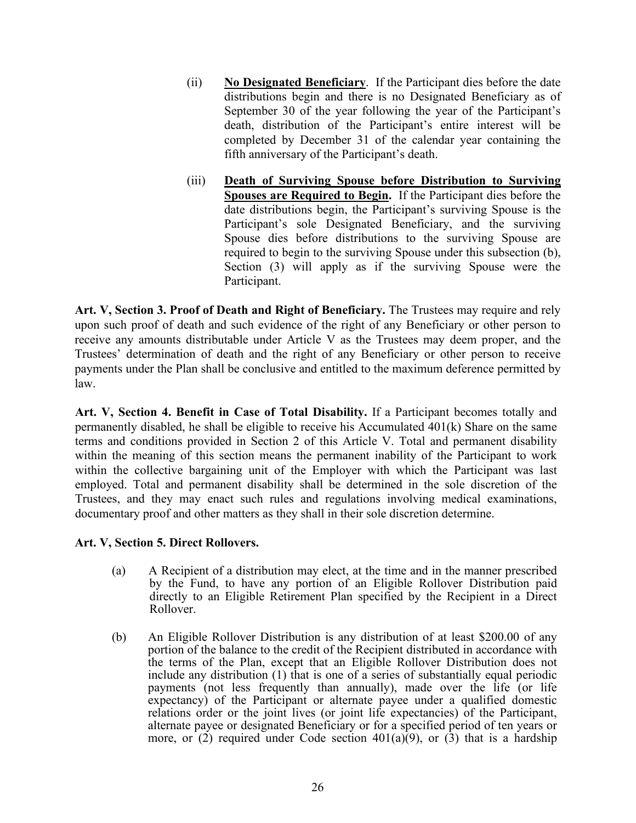- <span id="page-26-3"></span>(ii) **No Designated Beneficiary**. If the Participant dies before the date distributions begin and there is no Designated Beneficiary as of September 30 of the year following the year of the Participant's death, distribution of the Participant's entire interest will be completed by December 31 of the calendar year containing the fifth anniversary of the Participant's death.
- (iii) **Death of Surviving Spouse before Distribution to Surviving Spouses are Required to Begin.** If the Participant dies before the date distributions begin, the Participant's surviving Spouse is the Participant's sole Designated Beneficiary, and the surviving Spouse dies before distributions to the surviving Spouse are required to begin to the surviving Spouse under this subsection (b), Section (3) will apply as if the surviving Spouse were the Participant.

<span id="page-26-0"></span>**Art. V, Section 3. Proof of Death and Right of Beneficiary.** The Trustees may require and rely upon such proof of death and such evidence of the right of any Beneficiary or other person to receive any amounts distributable under Article V as the Trustees may deem proper, and the Trustees' determination of death and the right of any Beneficiary or other person to receive payments under the Plan shall be conclusive and entitled to the maximum deference permitted by law.

<span id="page-26-1"></span>**Art. V, Section 4. Benefit in Case of Total Disability.** If a Participant becomes totally and permanently disabled, he shall be eligible to receive his Accumulated 401(k) Share on the same terms and conditions provided in Section 2 of this Article V. Total and permanent disability within the meaning of this section means the permanent inability of the Participant to work within the collective bargaining unit of the Employer with which the Participant was last employed. Total and permanent disability shall be determined in the sole discretion of the Trustees, and they may enact such rules and regulations involving medical examinations, documentary proof and other matters as they shall in their sole discretion determine.

# <span id="page-26-2"></span>**Art. V, Section 5. Direct Rollovers.**

- (a) A Recipient of a distribution may elect, at the time and in the manner prescribed by the Fund, to have any portion of an Eligible Rollover Distribution paid directly to an Eligible Retirement Plan specified by the Recipient in a Direct Rollover.
- (b) An Eligible Rollover Distribution is any distribution of at least \$200.00 of any portion of the balance to the credit of the Recipient distributed in accordance with the terms of the Plan, except that an Eligible Rollover Distribution does not include any distribution (1) that is one of a series of substantially equal periodic payments (not less frequently than annually), made over the life (or life expectancy) of the Participant or alternate payee under a qualified domestic relations order or the joint lives (or joint life expectancies) of the Participant, alternate payee or designated Beneficiary or for a specified period of ten years or more, or  $(2)$  required under Code section 401(a)(9), or  $(3)$  that is a hardship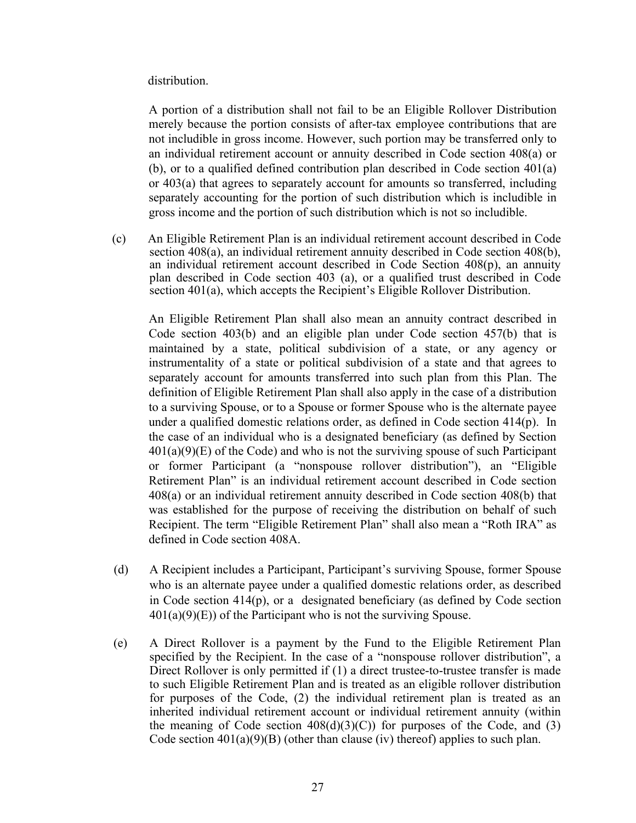#### distribution.

A portion of a distribution shall not fail to be an Eligible Rollover Distribution merely because the portion consists of after-tax employee contributions that are not includible in gross income. However, such portion may be transferred only to an individual retirement account or annuity described in Code section 408(a) or (b), or to a qualified defined contribution plan described in Code section 401(a) or 403(a) that agrees to separately account for amounts so transferred, including separately accounting for the portion of such distribution which is includible in gross income and the portion of such distribution which is not so includible.

(c) An Eligible Retirement Plan is an individual retirement account described in Code section 408(a), an individual retirement annuity described in Code section 408(b), an individual retirement account described in Code Section 408(p), an annuity plan described in Code section 403 (a), or a qualified trust described in Code section 401(a), which accepts the Recipient's Eligible Rollover Distribution.

An Eligible Retirement Plan shall also mean an annuity contract described in Code section 403(b) and an eligible plan under Code section 457(b) that is maintained by a state, political subdivision of a state, or any agency or instrumentality of a state or political subdivision of a state and that agrees to separately account for amounts transferred into such plan from this Plan. The definition of Eligible Retirement Plan shall also apply in the case of a distribution to a surviving Spouse, or to a Spouse or former Spouse who is the alternate payee under a qualified domestic relations order, as defined in Code section 414(p). In the case of an individual who is a designated beneficiary (as defined by Section  $401(a)(9)(E)$  of the Code) and who is not the surviving spouse of such Participant or former Participant (a "nonspouse rollover distribution"), an "Eligible Retirement Plan" is an individual retirement account described in Code section 408(a) or an individual retirement annuity described in Code section 408(b) that was established for the purpose of receiving the distribution on behalf of such Recipient. The term "Eligible Retirement Plan" shall also mean a "Roth IRA" as defined in Code section 408A.

- (d) A Recipient includes a Participant, Participant's surviving Spouse, former Spouse who is an alternate payee under a qualified domestic relations order, as described in Code section 414(p), or a designated beneficiary (as defined by Code section  $401(a)(9)(E)$  of the Participant who is not the surviving Spouse.
- (e) A Direct Rollover is a payment by the Fund to the Eligible Retirement Plan specified by the Recipient. In the case of a "nonspouse rollover distribution", a Direct Rollover is only permitted if (1) a direct trustee-to-trustee transfer is made to such Eligible Retirement Plan and is treated as an eligible rollover distribution for purposes of the Code, (2) the individual retirement plan is treated as an inherited individual retirement account or individual retirement annuity (within the meaning of Code section  $408(d)(3)(C)$  for purposes of the Code, and (3) Code section  $401(a)(9)(B)$  (other than clause (iv) thereof) applies to such plan.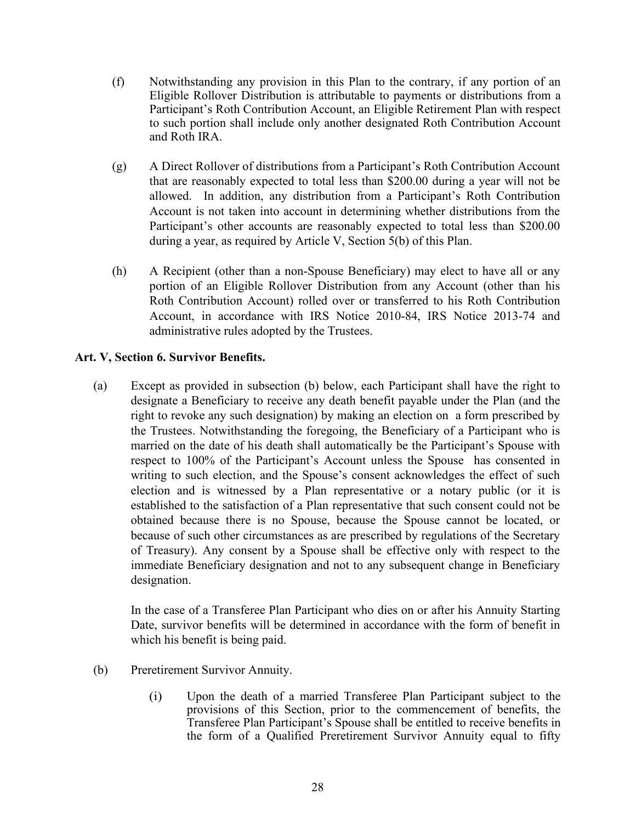- <span id="page-28-1"></span>(f) Notwithstanding any provision in this Plan to the contrary, if any portion of an Eligible Rollover Distribution is attributable to payments or distributions from a Participant's Roth Contribution Account, an Eligible Retirement Plan with respect to such portion shall include only another designated Roth Contribution Account and Roth IRA.
- (g) A Direct Rollover of distributions from a Participant's Roth Contribution Account that are reasonably expected to total less than \$200.00 during a year will not be allowed. In addition, any distribution from a Participant's Roth Contribution Account is not taken into account in determining whether distributions from the Participant's other accounts are reasonably expected to total less than \$200.00 during a year, as required by Article V, Section 5(b) of this Plan.
- (h) A Recipient (other than a non-Spouse Beneficiary) may elect to have all or any portion of an Eligible Rollover Distribution from any Account (other than his Roth Contribution Account) rolled over or transferred to his Roth Contribution Account, in accordance with IRS Notice 2010-84, IRS Notice 2013-74 and administrative rules adopted by the Trustees.

# <span id="page-28-0"></span>**Art. V, Section 6. Survivor Benefits.**

(a) Except as provided in subsection (b) below, each Participant shall have the right to designate a Beneficiary to receive any death benefit payable under the Plan (and the right to revoke any such designation) by making an election on a form prescribed by the Trustees. Notwithstanding the foregoing, the Beneficiary of a Participant who is married on the date of his death shall automatically be the Participant's Spouse with respect to 100% of the Participant's Account unless the Spouse has consented in writing to such election, and the Spouse's consent acknowledges the effect of such election and is witnessed by a Plan representative or a notary public (or it is established to the satisfaction of a Plan representative that such consent could not be obtained because there is no Spouse, because the Spouse cannot be located, or because of such other circumstances as are prescribed by regulations of the Secretary of Treasury). Any consent by a Spouse shall be effective only with respect to the immediate Beneficiary designation and not to any subsequent change in Beneficiary designation.

In the case of a Transferee Plan Participant who dies on or after his Annuity Starting Date, survivor benefits will be determined in accordance with the form of benefit in which his benefit is being paid.

- (b) Preretirement Survivor Annuity.
	- (i) Upon the death of a married Transferee Plan Participant subject to the provisions of this Section, prior to the commencement of benefits, the Transferee Plan Participant's Spouse shall be entitled to receive benefits in the form of a Qualified Preretirement Survivor Annuity equal to fifty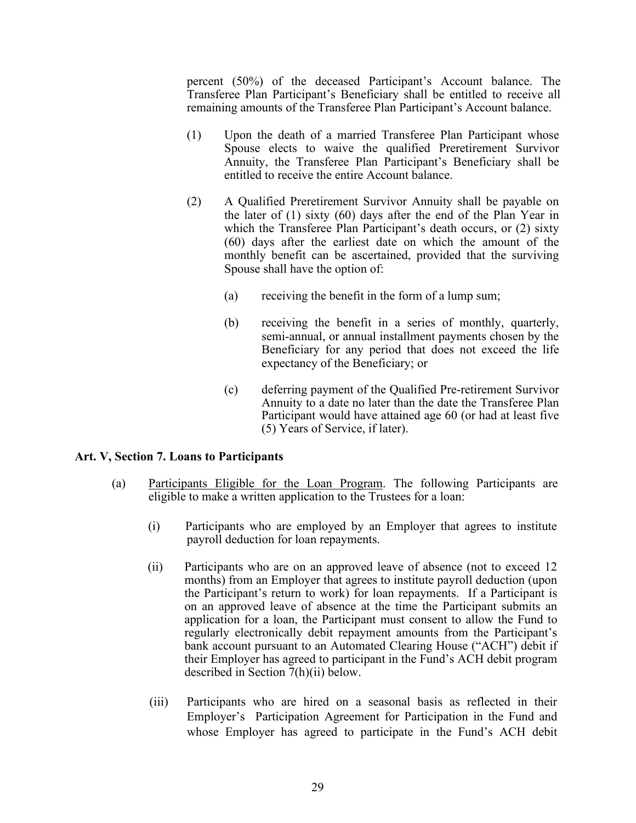<span id="page-29-1"></span>percent (50%) of the deceased Participant's Account balance. The Transferee Plan Participant's Beneficiary shall be entitled to receive all remaining amounts of the Transferee Plan Participant's Account balance.

- (1) Upon the death of a married Transferee Plan Participant whose Spouse elects to waive the qualified Preretirement Survivor Annuity, the Transferee Plan Participant's Beneficiary shall be entitled to receive the entire Account balance.
- (2) A Qualified Preretirement Survivor Annuity shall be payable on the later of (1) sixty (60) days after the end of the Plan Year in which the Transferee Plan Participant's death occurs, or (2) sixty (60) days after the earliest date on which the amount of the monthly benefit can be ascertained, provided that the surviving Spouse shall have the option of:
	- (a) receiving the benefit in the form of a lump sum;
	- (b) receiving the benefit in a series of monthly, quarterly, semi-annual, or annual installment payments chosen by the Beneficiary for any period that does not exceed the life expectancy of the Beneficiary; or
	- (c) deferring payment of the Qualified Pre-retirement Survivor Annuity to a date no later than the date the Transferee Plan Participant would have attained age 60 (or had at least five (5) Years of Service, if later).

#### <span id="page-29-0"></span>**Art. V, Section 7. Loans to Participants**

- (a) Participants Eligible for the Loan Program. The following Participants are eligible to make a written application to the Trustees for a loan:
	- (i) Participants who are employed by an Employer that agrees to institute payroll deduction for loan repayments.
	- (ii) Participants who are on an approved leave of absence (not to exceed 12 months) from an Employer that agrees to institute payroll deduction (upon the Participant's return to work) for loan repayments. If a Participant is on an approved leave of absence at the time the Participant submits an application for a loan, the Participant must consent to allow the Fund to regularly electronically debit repayment amounts from the Participant's bank account pursuant to an Automated Clearing House ("ACH") debit if their Employer has agreed to participant in the Fund's ACH debit program described in Section 7(h)(ii) below.
	- (iii) Participants who are hired on a seasonal basis as reflected in their Employer's Participation Agreement for Participation in the Fund and whose Employer has agreed to participate in the Fund's ACH debit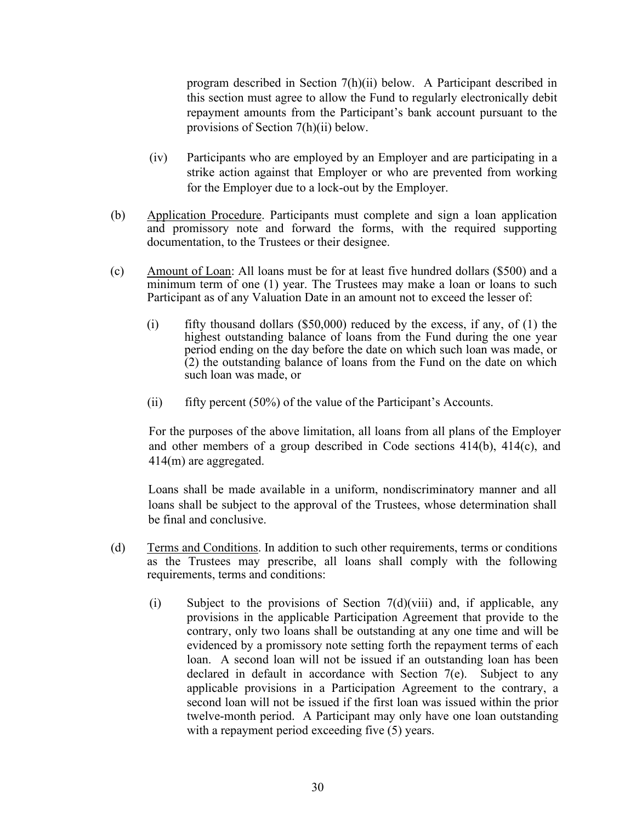program described in Section 7(h)(ii) below. A Participant described in this section must agree to allow the Fund to regularly electronically debit repayment amounts from the Participant's bank account pursuant to the provisions of Section 7(h)(ii) below.

- (iv) Participants who are employed by an Employer and are participating in a strike action against that Employer or who are prevented from working for the Employer due to a lock-out by the Employer.
- (b) Application Procedure. Participants must complete and sign a loan application and promissory note and forward the forms, with the required supporting documentation, to the Trustees or their designee.
- (c) Amount of Loan: All loans must be for at least five hundred dollars (\$500) and a minimum term of one (1) year. The Trustees may make a loan or loans to such Participant as of any Valuation Date in an amount not to exceed the lesser of:
	- (i) fifty thousand dollars (\$50,000) reduced by the excess, if any, of (1) the highest outstanding balance of loans from the Fund during the one year period ending on the day before the date on which such loan was made, or (2) the outstanding balance of loans from the Fund on the date on which such loan was made, or
	- (ii) fifty percent  $(50\%)$  of the value of the Participant's Accounts.

For the purposes of the above limitation, all loans from all plans of the Employer and other members of a group described in Code sections 414(b), 414(c), and 414(m) are aggregated.

Loans shall be made available in a uniform, nondiscriminatory manner and all loans shall be subject to the approval of the Trustees, whose determination shall be final and conclusive.

- (d) Terms and Conditions. In addition to such other requirements, terms or conditions as the Trustees may prescribe, all loans shall comply with the following requirements, terms and conditions:
	- (i) Subject to the provisions of Section  $7(d)(viii)$  and, if applicable, any provisions in the applicable Participation Agreement that provide to the contrary, only two loans shall be outstanding at any one time and will be evidenced by a promissory note setting forth the repayment terms of each loan. A second loan will not be issued if an outstanding loan has been declared in default in accordance with Section 7(e). Subject to any applicable provisions in a Participation Agreement to the contrary, a second loan will not be issued if the first loan was issued within the prior twelve-month period. A Participant may only have one loan outstanding with a repayment period exceeding five  $(5)$  years.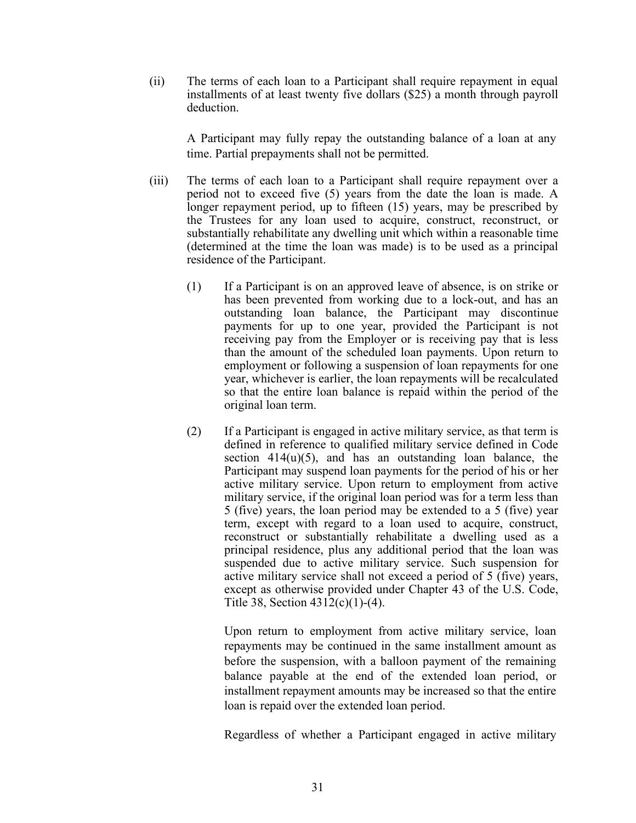(ii) The terms of each loan to a Participant shall require repayment in equal installments of at least twenty five dollars (\$25) a month through payroll deduction.

A Participant may fully repay the outstanding balance of a loan at any time. Partial prepayments shall not be permitted.

- (iii) The terms of each loan to a Participant shall require repayment over a period not to exceed five (5) years from the date the loan is made. A longer repayment period, up to fifteen (15) years, may be prescribed by the Trustees for any loan used to acquire, construct, reconstruct, or substantially rehabilitate any dwelling unit which within a reasonable time (determined at the time the loan was made) is to be used as a principal residence of the Participant.
	- (1) If a Participant is on an approved leave of absence, is on strike or has been prevented from working due to a lock-out, and has an outstanding loan balance, the Participant may discontinue payments for up to one year, provided the Participant is not receiving pay from the Employer or is receiving pay that is less than the amount of the scheduled loan payments. Upon return to employment or following a suspension of loan repayments for one year, whichever is earlier, the loan repayments will be recalculated so that the entire loan balance is repaid within the period of the original loan term.
	- (2) If a Participant is engaged in active military service, as that term is defined in reference to qualified military service defined in Code section  $414(u)(5)$ , and has an outstanding loan balance, the Participant may suspend loan payments for the period of his or her active military service. Upon return to employment from active military service, if the original loan period was for a term less than 5 (five) years, the loan period may be extended to a 5 (five) year term, except with regard to a loan used to acquire, construct, reconstruct or substantially rehabilitate a dwelling used as a principal residence, plus any additional period that the loan was suspended due to active military service. Such suspension for active military service shall not exceed a period of 5 (five) years, except as otherwise provided under Chapter 43 of the U.S. Code, Title 38, Section 4312(c)(1)-(4).

Upon return to employment from active military service, loan repayments may be continued in the same installment amount as before the suspension, with a balloon payment of the remaining balance payable at the end of the extended loan period, or installment repayment amounts may be increased so that the entire loan is repaid over the extended loan period.

Regardless of whether a Participant engaged in active military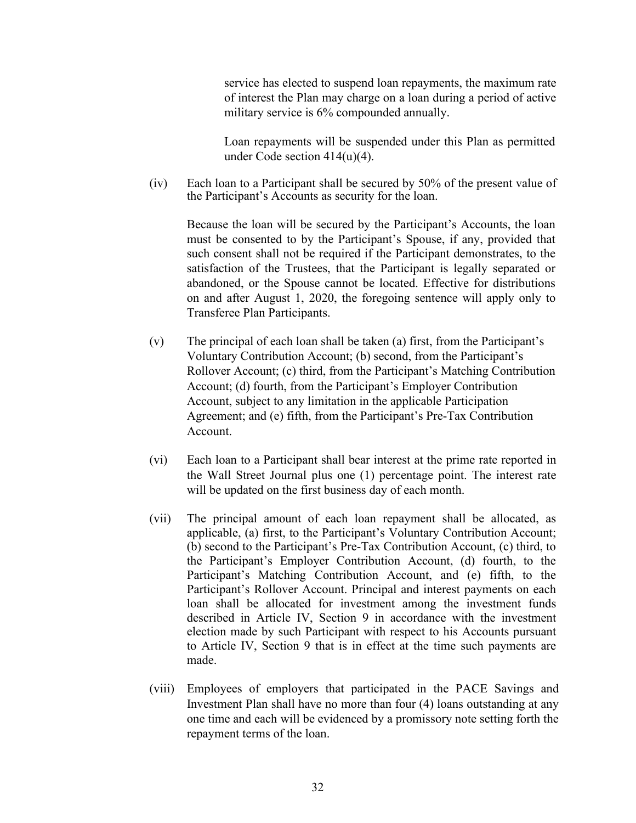service has elected to suspend loan repayments, the maximum rate of interest the Plan may charge on a loan during a period of active military service is 6% compounded annually.

Loan repayments will be suspended under this Plan as permitted under Code section 414(u)(4).

(iv) Each loan to a Participant shall be secured by 50% of the present value of the Participant's Accounts as security for the loan.

Because the loan will be secured by the Participant's Accounts, the loan must be consented to by the Participant's Spouse, if any, provided that such consent shall not be required if the Participant demonstrates, to the satisfaction of the Trustees, that the Participant is legally separated or abandoned, or the Spouse cannot be located. Effective for distributions on and after August 1, 2020, the foregoing sentence will apply only to Transferee Plan Participants.

- (v) The principal of each loan shall be taken (a) first, from the Participant's Voluntary Contribution Account; (b) second, from the Participant's Rollover Account; (c) third, from the Participant's Matching Contribution Account; (d) fourth, from the Participant's Employer Contribution Account, subject to any limitation in the applicable Participation Agreement; and (e) fifth, from the Participant's Pre-Tax Contribution Account.
- (vi) Each loan to a Participant shall bear interest at the prime rate reported in the Wall Street Journal plus one (1) percentage point. The interest rate will be updated on the first business day of each month.
- (vii) The principal amount of each loan repayment shall be allocated, as applicable, (a) first, to the Participant's Voluntary Contribution Account; (b) second to the Participant's Pre-Tax Contribution Account, (c) third, to the Participant's Employer Contribution Account, (d) fourth, to the Participant's Matching Contribution Account, and (e) fifth, to the Participant's Rollover Account. Principal and interest payments on each loan shall be allocated for investment among the investment funds described in Article IV, Section 9 in accordance with the investment election made by such Participant with respect to his Accounts pursuant to Article IV, Section 9 that is in effect at the time such payments are made.
- (viii) Employees of employers that participated in the PACE Savings and Investment Plan shall have no more than four (4) loans outstanding at any one time and each will be evidenced by a promissory note setting forth the repayment terms of the loan.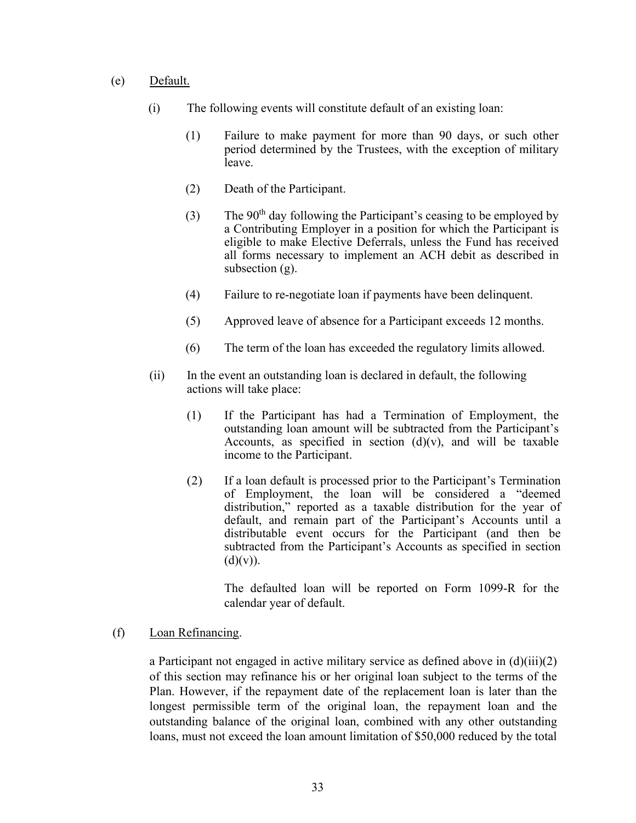- (e) Default.
	- (i) The following events will constitute default of an existing loan:
		- (1) Failure to make payment for more than 90 days, or such other period determined by the Trustees, with the exception of military leave.
		- (2) Death of the Participant.
		- (3) The  $90<sup>th</sup>$  day following the Participant's ceasing to be employed by a Contributing Employer in a position for which the Participant is eligible to make Elective Deferrals, unless the Fund has received all forms necessary to implement an ACH debit as described in subsection (g).
		- (4) Failure to re-negotiate loan if payments have been delinquent.
		- (5) Approved leave of absence for a Participant exceeds 12 months.
		- (6) The term of the loan has exceeded the regulatory limits allowed.
	- (ii) In the event an outstanding loan is declared in default, the following actions will take place:
		- (1) If the Participant has had a Termination of Employment, the outstanding loan amount will be subtracted from the Participant's Accounts, as specified in section  $(d)(v)$ , and will be taxable income to the Participant.
		- (2) If a loan default is processed prior to the Participant's Termination of Employment, the loan will be considered a "deemed distribution," reported as a taxable distribution for the year of default, and remain part of the Participant's Accounts until a distributable event occurs for the Participant (and then be subtracted from the Participant's Accounts as specified in section  $(d)(v)$ ).

The defaulted loan will be reported on Form 1099-R for the calendar year of default.

(f) Loan Refinancing.

a Participant not engaged in active military service as defined above in (d)(iii)(2) of this section may refinance his or her original loan subject to the terms of the Plan. However, if the repayment date of the replacement loan is later than the longest permissible term of the original loan, the repayment loan and the outstanding balance of the original loan, combined with any other outstanding loans, must not exceed the loan amount limitation of \$50,000 reduced by the total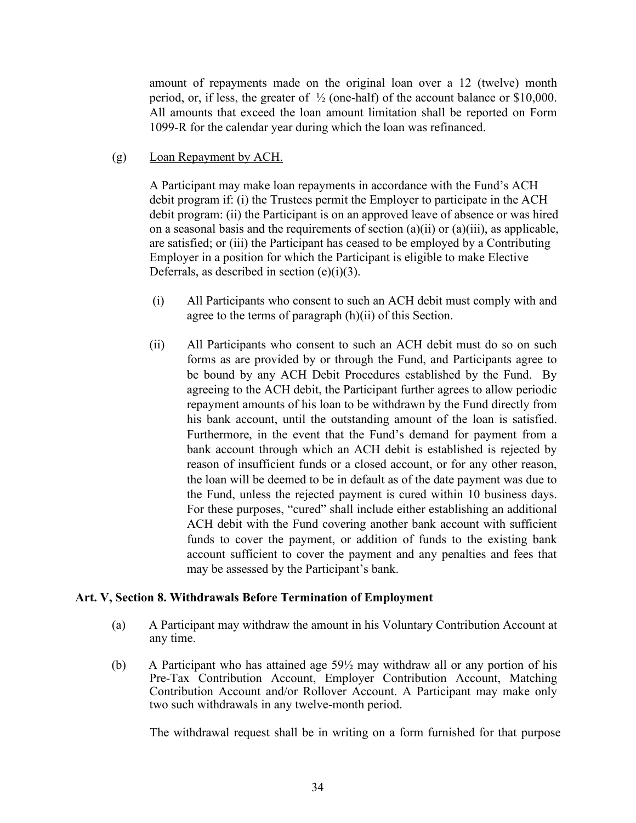<span id="page-34-1"></span>amount of repayments made on the original loan over a 12 (twelve) month period, or, if less, the greater of  $\frac{1}{2}$  (one-half) of the account balance or \$10,000. All amounts that exceed the loan amount limitation shall be reported on Form 1099-R for the calendar year during which the loan was refinanced.

(g) Loan Repayment by ACH.

A Participant may make loan repayments in accordance with the Fund's ACH debit program if: (i) the Trustees permit the Employer to participate in the ACH debit program: (ii) the Participant is on an approved leave of absence or was hired on a seasonal basis and the requirements of section (a)(ii) or (a)(iii), as applicable, are satisfied; or (iii) the Participant has ceased to be employed by a Contributing Employer in a position for which the Participant is eligible to make Elective Deferrals, as described in section  $(e)(i)(3)$ .

- (i) All Participants who consent to such an ACH debit must comply with and agree to the terms of paragraph (h)(ii) of this Section.
- (ii) All Participants who consent to such an ACH debit must do so on such forms as are provided by or through the Fund, and Participants agree to be bound by any ACH Debit Procedures established by the Fund. By agreeing to the ACH debit, the Participant further agrees to allow periodic repayment amounts of his loan to be withdrawn by the Fund directly from his bank account, until the outstanding amount of the loan is satisfied. Furthermore, in the event that the Fund's demand for payment from a bank account through which an ACH debit is established is rejected by reason of insufficient funds or a closed account, or for any other reason, the loan will be deemed to be in default as of the date payment was due to the Fund, unless the rejected payment is cured within 10 business days. For these purposes, "cured" shall include either establishing an additional ACH debit with the Fund covering another bank account with sufficient funds to cover the payment, or addition of funds to the existing bank account sufficient to cover the payment and any penalties and fees that may be assessed by the Participant's bank.

#### <span id="page-34-0"></span>**Art. V, Section 8. Withdrawals Before Termination of Employment**

- (a) A Participant may withdraw the amount in his Voluntary Contribution Account at any time.
- (b) A Participant who has attained age 59½ may withdraw all or any portion of his Pre-Tax Contribution Account, Employer Contribution Account, Matching Contribution Account and/or Rollover Account. A Participant may make only two such withdrawals in any twelve-month period.

The withdrawal request shall be in writing on a form furnished for that purpose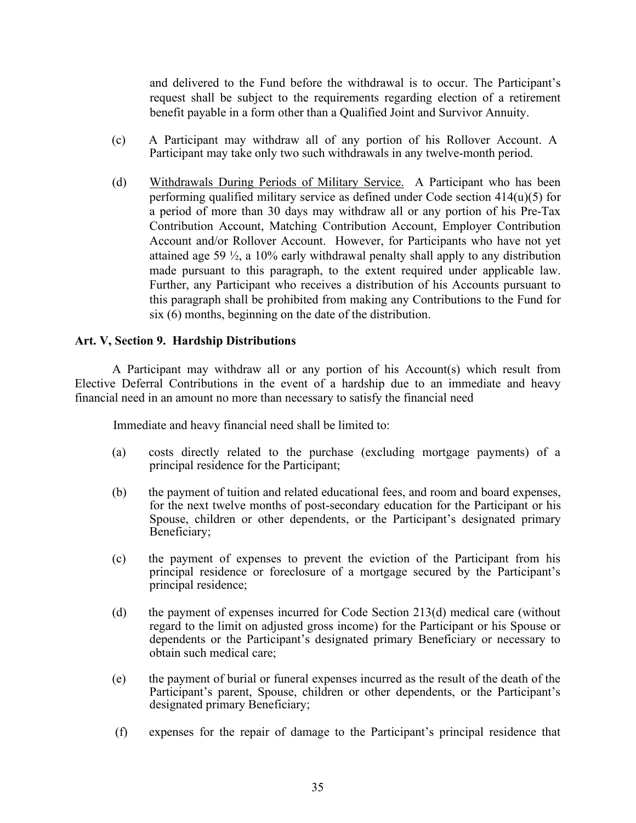<span id="page-35-1"></span>and delivered to the Fund before the withdrawal is to occur. The Participant's request shall be subject to the requirements regarding election of a retirement benefit payable in a form other than a Qualified Joint and Survivor Annuity.

- (c) A Participant may withdraw all of any portion of his Rollover Account. A Participant may take only two such withdrawals in any twelve-month period.
- (d) Withdrawals During Periods of Military Service. A Participant who has been performing qualified military service as defined under Code section 414(u)(5) for a period of more than 30 days may withdraw all or any portion of his Pre-Tax Contribution Account, Matching Contribution Account, Employer Contribution Account and/or Rollover Account. However, for Participants who have not yet attained age 59 ½, a 10% early withdrawal penalty shall apply to any distribution made pursuant to this paragraph, to the extent required under applicable law. Further, any Participant who receives a distribution of his Accounts pursuant to this paragraph shall be prohibited from making any Contributions to the Fund for six (6) months, beginning on the date of the distribution.

#### <span id="page-35-0"></span>**Art. V, Section 9. Hardship Distributions**

A Participant may withdraw all or any portion of his Account(s) which result from Elective Deferral Contributions in the event of a hardship due to an immediate and heavy financial need in an amount no more than necessary to satisfy the financial need

Immediate and heavy financial need shall be limited to:

- (a) costs directly related to the purchase (excluding mortgage payments) of a principal residence for the Participant;
- (b) the payment of tuition and related educational fees, and room and board expenses, for the next twelve months of post-secondary education for the Participant or his Spouse, children or other dependents, or the Participant's designated primary Beneficiary;
- (c) the payment of expenses to prevent the eviction of the Participant from his principal residence or foreclosure of a mortgage secured by the Participant's principal residence;
- (d) the payment of expenses incurred for Code Section 213(d) medical care (without regard to the limit on adjusted gross income) for the Participant or his Spouse or dependents or the Participant's designated primary Beneficiary or necessary to obtain such medical care;
- (e) the payment of burial or funeral expenses incurred as the result of the death of the Participant's parent, Spouse, children or other dependents, or the Participant's designated primary Beneficiary;
- (f) expenses for the repair of damage to the Participant's principal residence that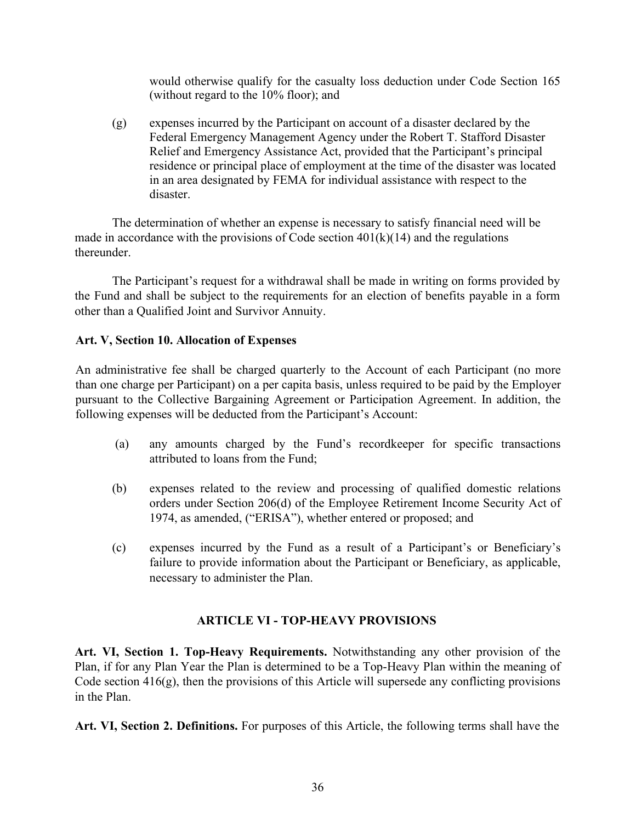would otherwise qualify for the casualty loss deduction under Code Section 165 (without regard to the 10% floor); and

<span id="page-36-4"></span>(g) expenses incurred by the Participant on account of a disaster declared by the Federal Emergency Management Agency under the Robert T. Stafford Disaster Relief and Emergency Assistance Act, provided that the Participant's principal residence or principal place of employment at the time of the disaster was located in an area designated by FEMA for individual assistance with respect to the disaster.

The determination of whether an expense is necessary to satisfy financial need will be made in accordance with the provisions of Code section  $401(k)(14)$  and the regulations thereunder.

The Participant's request for a withdrawal shall be made in writing on forms provided by the Fund and shall be subject to the requirements for an election of benefits payable in a form other than a Qualified Joint and Survivor Annuity.

# <span id="page-36-0"></span>**Art. V, Section 10. Allocation of Expenses**

An administrative fee shall be charged quarterly to the Account of each Participant (no more than one charge per Participant) on a per capita basis, unless required to be paid by the Employer pursuant to the Collective Bargaining Agreement or Participation Agreement. In addition, the following expenses will be deducted from the Participant's Account:

- (a) any amounts charged by the Fund's recordkeeper for specific transactions attributed to loans from the Fund;
- (b) expenses related to the review and processing of qualified domestic relations orders under Section 206(d) of the Employee Retirement Income Security Act of 1974, as amended, ("ERISA"), whether entered or proposed; and
- <span id="page-36-1"></span>(c) expenses incurred by the Fund as a result of a Participant's or Beneficiary's failure to provide information about the Participant or Beneficiary, as applicable, necessary to administer the Plan.

# **ARTICLE VI - TOP-HEAVY PROVISIONS**

<span id="page-36-2"></span>**Art. VI, Section 1. Top-Heavy Requirements.** Notwithstanding any other provision of the Plan, if for any Plan Year the Plan is determined to be a Top-Heavy Plan within the meaning of Code section  $416(g)$ , then the provisions of this Article will supersede any conflicting provisions in the Plan.

<span id="page-36-3"></span>**Art. VI, Section 2. Definitions.** For purposes of this Article, the following terms shall have the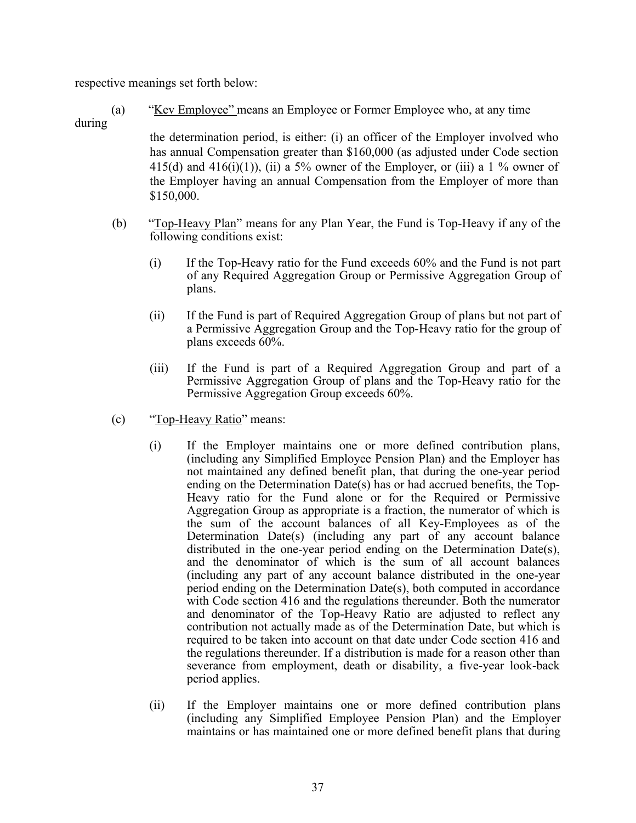respective meanings set forth below:

(a) "Kev Employee" means an Employee or Former Employee who, at any time

# during

the determination period, is either: (i) an officer of the Employer involved who has annual Compensation greater than \$160,000 (as adjusted under Code section 415(d) and 416(i)(1)), (ii) a 5% owner of the Employer, or (iii) a 1 % owner of the Employer having an annual Compensation from the Employer of more than \$150,000.

- (b) "Top-Heavy Plan" means for any Plan Year, the Fund is Top-Heavy if any of the following conditions exist:
	- (i) If the Top-Heavy ratio for the Fund exceeds 60% and the Fund is not part of any Required Aggregation Group or Permissive Aggregation Group of plans.
	- (ii) If the Fund is part of Required Aggregation Group of plans but not part of a Permissive Aggregation Group and the Top-Heavy ratio for the group of plans exceeds 60%.
	- (iii) If the Fund is part of a Required Aggregation Group and part of a Permissive Aggregation Group of plans and the Top-Heavy ratio for the Permissive Aggregation Group exceeds 60%.
- (c) "Top-Heavy Ratio" means:
	- (i) If the Employer maintains one or more defined contribution plans, (including any Simplified Employee Pension Plan) and the Employer has not maintained any defined benefit plan, that during the one-year period ending on the Determination Date(s) has or had accrued benefits, the Top-Heavy ratio for the Fund alone or for the Required or Permissive Aggregation Group as appropriate is a fraction, the numerator of which is the sum of the account balances of all Key-Employees as of the Determination Date(s) (including any part of any account balance distributed in the one-year period ending on the Determination Date(s), and the denominator of which is the sum of all account balances (including any part of any account balance distributed in the one-year period ending on the Determination Date(s), both computed in accordance with Code section 416 and the regulations thereunder. Both the numerator and denominator of the Top-Heavy Ratio are adjusted to reflect any contribution not actually made as of the Determination Date, but which is required to be taken into account on that date under Code section 416 and the regulations thereunder. If a distribution is made for a reason other than severance from employment, death or disability, a five-year look-back period applies.
	- (ii) If the Employer maintains one or more defined contribution plans (including any Simplified Employee Pension Plan) and the Employer maintains or has maintained one or more defined benefit plans that during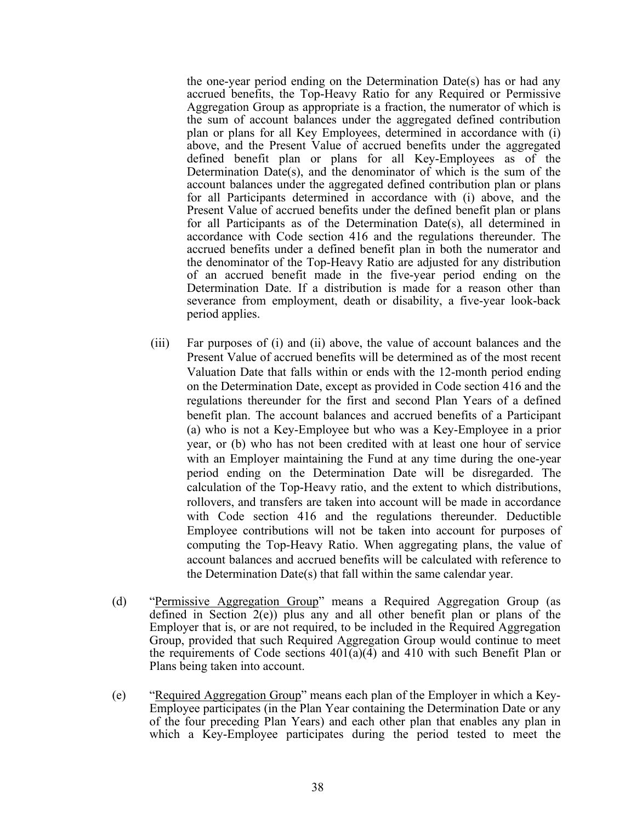the one-year period ending on the Determination Date(s) has or had any accrued benefits, the Top-Heavy Ratio for any Required or Permissive Aggregation Group as appropriate is a fraction, the numerator of which is the sum of account balances under the aggregated defined contribution plan or plans for all Key Employees, determined in accordance with (i) above, and the Present Value of accrued benefits under the aggregated defined benefit plan or plans for all Key-Employees as of the Determination Date(s), and the denominator of which is the sum of the account balances under the aggregated defined contribution plan or plans for all Participants determined in accordance with (i) above, and the Present Value of accrued benefits under the defined benefit plan or plans for all Participants as of the Determination Date(s), all determined in accordance with Code section 416 and the regulations thereunder. The accrued benefits under a defined benefit plan in both the numerator and the denominator of the Top-Heavy Ratio are adjusted for any distribution of an accrued benefit made in the five-year period ending on the Determination Date. If a distribution is made for a reason other than severance from employment, death or disability, a five-year look-back period applies.

- (iii) Far purposes of (i) and (ii) above, the value of account balances and the Present Value of accrued benefits will be determined as of the most recent Valuation Date that falls within or ends with the 12-month period ending on the Determination Date, except as provided in Code section 416 and the regulations thereunder for the first and second Plan Years of a defined benefit plan. The account balances and accrued benefits of a Participant (a) who is not a Key-Employee but who was a Key-Employee in a prior year, or (b) who has not been credited with at least one hour of service with an Employer maintaining the Fund at any time during the one-year period ending on the Determination Date will be disregarded. The calculation of the Top-Heavy ratio, and the extent to which distributions, rollovers, and transfers are taken into account will be made in accordance with Code section 416 and the regulations thereunder. Deductible Employee contributions will not be taken into account for purposes of computing the Top-Heavy Ratio. When aggregating plans, the value of account balances and accrued benefits will be calculated with reference to the Determination Date(s) that fall within the same calendar year.
- (d) "Permissive Aggregation Group" means a Required Aggregation Group (as defined in Section 2(e)) plus any and all other benefit plan or plans of the Employer that is, or are not required, to be included in the Required Aggregation Group, provided that such Required Aggregation Group would continue to meet the requirements of Code sections  $401(a)(4)$  and  $410$  with such Benefit Plan or Plans being taken into account.
- (e) "Required Aggregation Group" means each plan of the Employer in which a Key-Employee participates (in the Plan Year containing the Determination Date or any of the four preceding Plan Years) and each other plan that enables any plan in which a Key-Employee participates during the period tested to meet the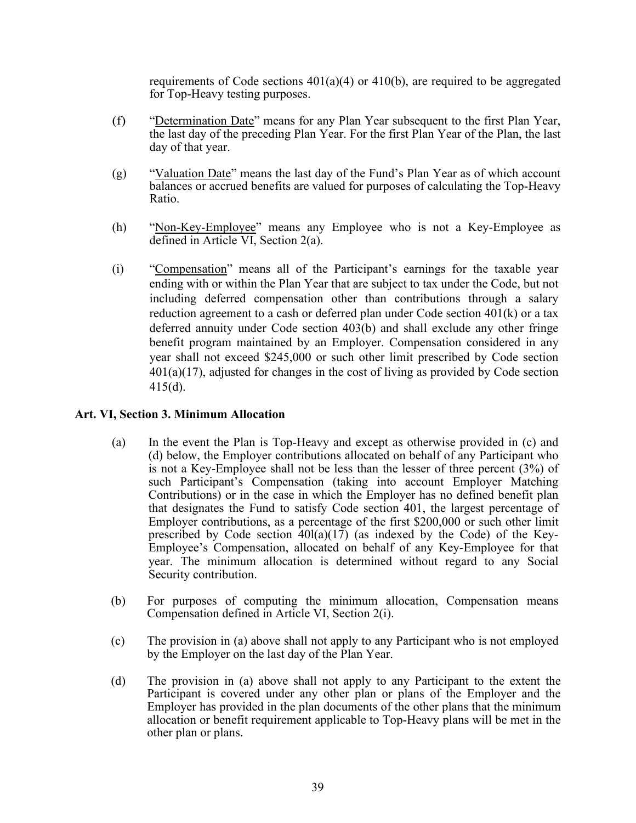requirements of Code sections  $401(a)(4)$  or  $410(b)$ , are required to be aggregated for Top-Heavy testing purposes.

- <span id="page-39-1"></span>(f) "Determination Date" means for any Plan Year subsequent to the first Plan Year, the last day of the preceding Plan Year. For the first Plan Year of the Plan, the last day of that year.
- (g) "Valuation Date" means the last day of the Fund's Plan Year as of which account balances or accrued benefits are valued for purposes of calculating the Top-Heavy Ratio.
- (h) "Non-Key-Employee" means any Employee who is not a Key-Employee as defined in Article VI, Section 2(a).
- (i) "Compensation" means all of the Participant's earnings for the taxable year ending with or within the Plan Year that are subject to tax under the Code, but not including deferred compensation other than contributions through a salary reduction agreement to a cash or deferred plan under Code section 401(k) or a tax deferred annuity under Code section 403(b) and shall exclude any other fringe benefit program maintained by an Employer. Compensation considered in any year shall not exceed \$245,000 or such other limit prescribed by Code section 401(a)(17), adjusted for changes in the cost of living as provided by Code section 415(d).

# <span id="page-39-0"></span>**Art. VI, Section 3. Minimum Allocation**

- (a) In the event the Plan is Top-Heavy and except as otherwise provided in (c) and (d) below, the Employer contributions allocated on behalf of any Participant who is not a Key-Employee shall not be less than the lesser of three percent (3%) of such Participant's Compensation (taking into account Employer Matching Contributions) or in the case in which the Employer has no defined benefit plan that designates the Fund to satisfy Code section 401, the largest percentage of Employer contributions, as a percentage of the first \$200,000 or such other limit prescribed by Code section  $40I(a)(17)$  (as indexed by the Code) of the Key-Employee's Compensation, allocated on behalf of any Key-Employee for that year. The minimum allocation is determined without regard to any Social Security contribution.
- (b) For purposes of computing the minimum allocation, Compensation means Compensation defined in Article VI, Section 2(i).
- (c) The provision in (a) above shall not apply to any Participant who is not employed by the Employer on the last day of the Plan Year.
- (d) The provision in (a) above shall not apply to any Participant to the extent the Participant is covered under any other plan or plans of the Employer and the Employer has provided in the plan documents of the other plans that the minimum allocation or benefit requirement applicable to Top-Heavy plans will be met in the other plan or plans.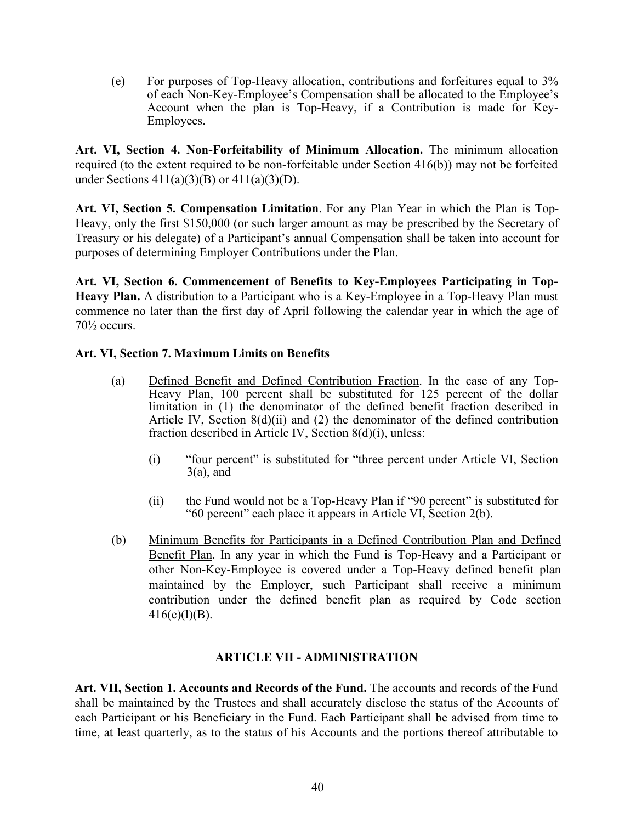<span id="page-40-6"></span>(e) For purposes of Top-Heavy allocation, contributions and forfeitures equal to 3% of each Non-Key-Employee's Compensation shall be allocated to the Employee's Account when the plan is Top-Heavy, if a Contribution is made for Key-Employees.

<span id="page-40-0"></span>**Art. VI, Section 4. Non-Forfeitability of Minimum Allocation.** The minimum allocation required (to the extent required to be non-forfeitable under Section 416(b)) may not be forfeited under Sections 411(a)(3)(B) or 411(a)(3)(D).

<span id="page-40-1"></span>**Art. VI, Section 5. Compensation Limitation**. For any Plan Year in which the Plan is Top-Heavy, only the first \$150,000 (or such larger amount as may be prescribed by the Secretary of Treasury or his delegate) of a Participant's annual Compensation shall be taken into account for purposes of determining Employer Contributions under the Plan.

<span id="page-40-2"></span>**Art. VI, Section 6. Commencement of Benefits to Key-Employees Participating in Top-Heavy Plan.** A distribution to a Participant who is a Key-Employee in a Top-Heavy Plan must commence no later than the first day of April following the calendar year in which the age of 70½ occurs.

# <span id="page-40-3"></span>**Art. VI, Section 7. Maximum Limits on Benefits**

- (a) Defined Benefit and Defined Contribution Fraction. In the case of any Top-Heavy Plan, 100 percent shall be substituted for 125 percent of the dollar limitation in (1) the denominator of the defined benefit fraction described in Article IV, Section 8(d)(ii) and (2) the denominator of the defined contribution fraction described in Article IV, Section 8(d)(i), unless:
	- (i) "four percent" is substituted for "three percent under Article VI, Section  $3(a)$ , and
	- (ii) the Fund would not be a Top-Heavy Plan if "90 percent" is substituted for "60 percent" each place it appears in Article VI, Section 2(b).
- (b) Minimum Benefits for Participants in a Defined Contribution Plan and Defined Benefit Plan. In any year in which the Fund is Top-Heavy and a Participant or other Non-Key-Employee is covered under a Top-Heavy defined benefit plan maintained by the Employer, such Participant shall receive a minimum contribution under the defined benefit plan as required by Code section  $416(c)(l)(B)$ .

# **ARTICLE VII - ADMINISTRATION**

<span id="page-40-5"></span><span id="page-40-4"></span>**Art. VII, Section 1. Accounts and Records of the Fund.** The accounts and records of the Fund shall be maintained by the Trustees and shall accurately disclose the status of the Accounts of each Participant or his Beneficiary in the Fund. Each Participant shall be advised from time to time, at least quarterly, as to the status of his Accounts and the portions thereof attributable to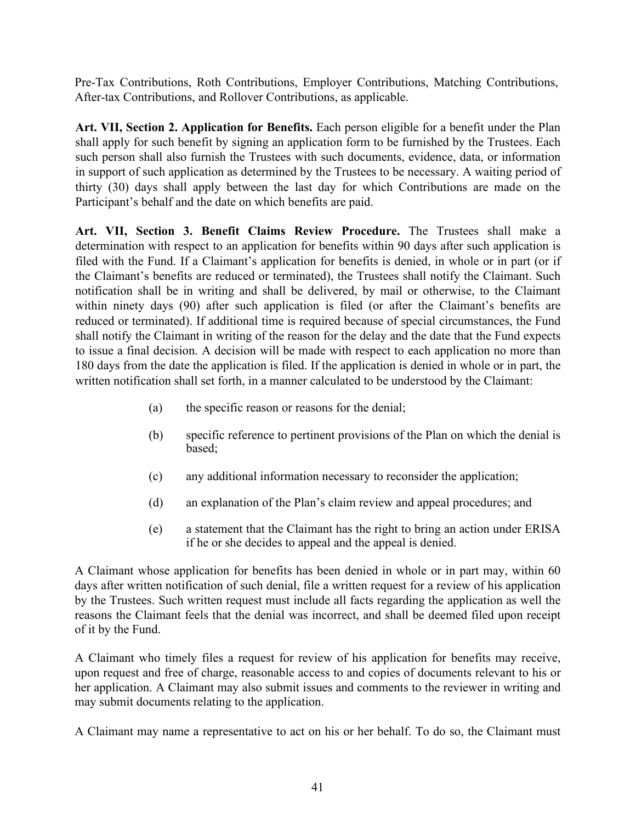<span id="page-41-2"></span>Pre-Tax Contributions, Roth Contributions, Employer Contributions, Matching Contributions, After-tax Contributions, and Rollover Contributions, as applicable.

<span id="page-41-0"></span>**Art. VII, Section 2. Application for Benefits.** Each person eligible for a benefit under the Plan shall apply for such benefit by signing an application form to be furnished by the Trustees. Each such person shall also furnish the Trustees with such documents, evidence, data, or information in support of such application as determined by the Trustees to be necessary. A waiting period of thirty (30) days shall apply between the last day for which Contributions are made on the Participant's behalf and the date on which benefits are paid.

<span id="page-41-1"></span>**Art. VII, Section 3. Benefit Claims Review Procedure.** The Trustees shall make a determination with respect to an application for benefits within 90 days after such application is filed with the Fund. If a Claimant's application for benefits is denied, in whole or in part (or if the Claimant's benefits are reduced or terminated), the Trustees shall notify the Claimant. Such notification shall be in writing and shall be delivered, by mail or otherwise, to the Claimant within ninety days (90) after such application is filed (or after the Claimant's benefits are reduced or terminated). If additional time is required because of special circumstances, the Fund shall notify the Claimant in writing of the reason for the delay and the date that the Fund expects to issue a final decision. A decision will be made with respect to each application no more than 180 days from the date the application is filed. If the application is denied in whole or in part, the written notification shall set forth, in a manner calculated to be understood by the Claimant:

- (a) the specific reason or reasons for the denial;
- (b) specific reference to pertinent provisions of the Plan on which the denial is based;
- (c) any additional information necessary to reconsider the application;
- (d) an explanation of the Plan's claim review and appeal procedures; and
- (e) a statement that the Claimant has the right to bring an action under ERISA if he or she decides to appeal and the appeal is denied.

A Claimant whose application for benefits has been denied in whole or in part may, within 60 days after written notification of such denial, file a written request for a review of his application by the Trustees. Such written request must include all facts regarding the application as well the reasons the Claimant feels that the denial was incorrect, and shall be deemed filed upon receipt of it by the Fund.

A Claimant who timely files a request for review of his application for benefits may receive, upon request and free of charge, reasonable access to and copies of documents relevant to his or her application. A Claimant may also submit issues and comments to the reviewer in writing and may submit documents relating to the application.

A Claimant may name a representative to act on his or her behalf. To do so, the Claimant must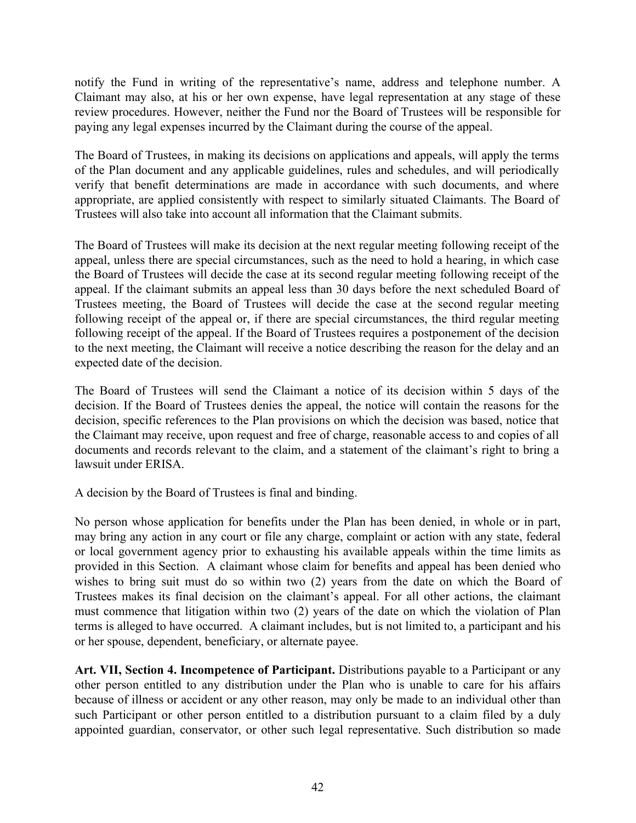<span id="page-42-1"></span>notify the Fund in writing of the representative's name, address and telephone number. A Claimant may also, at his or her own expense, have legal representation at any stage of these review procedures. However, neither the Fund nor the Board of Trustees will be responsible for paying any legal expenses incurred by the Claimant during the course of the appeal.

The Board of Trustees, in making its decisions on applications and appeals, will apply the terms of the Plan document and any applicable guidelines, rules and schedules, and will periodically verify that benefit determinations are made in accordance with such documents, and where appropriate, are applied consistently with respect to similarly situated Claimants. The Board of Trustees will also take into account all information that the Claimant submits.

The Board of Trustees will make its decision at the next regular meeting following receipt of the appeal, unless there are special circumstances, such as the need to hold a hearing, in which case the Board of Trustees will decide the case at its second regular meeting following receipt of the appeal. If the claimant submits an appeal less than 30 days before the next scheduled Board of Trustees meeting, the Board of Trustees will decide the case at the second regular meeting following receipt of the appeal or, if there are special circumstances, the third regular meeting following receipt of the appeal. If the Board of Trustees requires a postponement of the decision to the next meeting, the Claimant will receive a notice describing the reason for the delay and an expected date of the decision.

The Board of Trustees will send the Claimant a notice of its decision within 5 days of the decision. If the Board of Trustees denies the appeal, the notice will contain the reasons for the decision, specific references to the Plan provisions on which the decision was based, notice that the Claimant may receive, upon request and free of charge, reasonable access to and copies of all documents and records relevant to the claim, and a statement of the claimant's right to bring a lawsuit under ERISA.

A decision by the Board of Trustees is final and binding.

No person whose application for benefits under the Plan has been denied, in whole or in part, may bring any action in any court or file any charge, complaint or action with any state, federal or local government agency prior to exhausting his available appeals within the time limits as provided in this Section. A claimant whose claim for benefits and appeal has been denied who wishes to bring suit must do so within two (2) years from the date on which the Board of Trustees makes its final decision on the claimant's appeal. For all other actions, the claimant must commence that litigation within two (2) years of the date on which the violation of Plan terms is alleged to have occurred. A claimant includes, but is not limited to, a participant and his or her spouse, dependent, beneficiary, or alternate payee.

<span id="page-42-0"></span>**Art. VII, Section 4. Incompetence of Participant.** Distributions payable to a Participant or any other person entitled to any distribution under the Plan who is unable to care for his affairs because of illness or accident or any other reason, may only be made to an individual other than such Participant or other person entitled to a distribution pursuant to a claim filed by a duly appointed guardian, conservator, or other such legal representative. Such distribution so made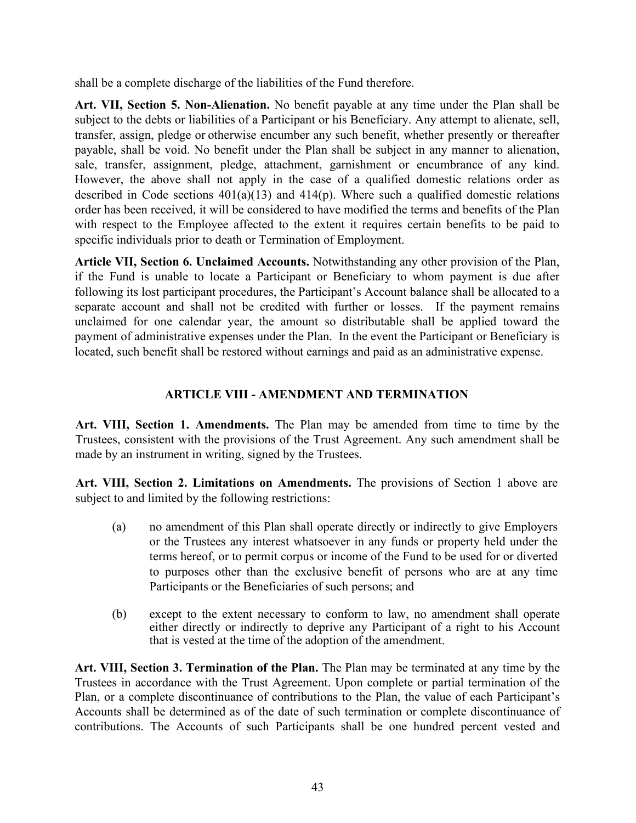<span id="page-43-5"></span>shall be a complete discharge of the liabilities of the Fund therefore.

<span id="page-43-0"></span>**Art. VII, Section 5. Non-Alienation.** No benefit payable at any time under the Plan shall be subject to the debts or liabilities of a Participant or his Beneficiary. Any attempt to alienate, sell, transfer, assign, pledge or otherwise encumber any such benefit, whether presently or thereafter payable, shall be void. No benefit under the Plan shall be subject in any manner to alienation, sale, transfer, assignment, pledge, attachment, garnishment or encumbrance of any kind. However, the above shall not apply in the case of a qualified domestic relations order as described in Code sections  $401(a)(13)$  and  $414(p)$ . Where such a qualified domestic relations order has been received, it will be considered to have modified the terms and benefits of the Plan with respect to the Employee affected to the extent it requires certain benefits to be paid to specific individuals prior to death or Termination of Employment.

**Article VII, Section 6. Unclaimed Accounts.** Notwithstanding any other provision of the Plan, if the Fund is unable to locate a Participant or Beneficiary to whom payment is due after following its lost participant procedures, the Participant's Account balance shall be allocated to a separate account and shall not be credited with further or losses. If the payment remains unclaimed for one calendar year, the amount so distributable shall be applied toward the payment of administrative expenses under the Plan. In the event the Participant or Beneficiary is located, such benefit shall be restored without earnings and paid as an administrative expense.

# **ARTICLE VIII - AMENDMENT AND TERMINATION**

<span id="page-43-2"></span><span id="page-43-1"></span>**Art. VIII, Section 1. Amendments.** The Plan may be amended from time to time by the Trustees, consistent with the provisions of the Trust Agreement. Any such amendment shall be made by an instrument in writing, signed by the Trustees.

<span id="page-43-3"></span>**Art. VIII, Section 2. Limitations on Amendments.** The provisions of Section 1 above are subject to and limited by the following restrictions:

- (a) no amendment of this Plan shall operate directly or indirectly to give Employers or the Trustees any interest whatsoever in any funds or property held under the terms hereof, or to permit corpus or income of the Fund to be used for or diverted to purposes other than the exclusive benefit of persons who are at any time Participants or the Beneficiaries of such persons; and
- (b) except to the extent necessary to conform to law, no amendment shall operate either directly or indirectly to deprive any Participant of a right to his Account that is vested at the time of the adoption of the amendment.

<span id="page-43-4"></span>**Art. VIII, Section 3. Termination of the Plan.** The Plan may be terminated at any time by the Trustees in accordance with the Trust Agreement. Upon complete or partial termination of the Plan, or a complete discontinuance of contributions to the Plan, the value of each Participant's Accounts shall be determined as of the date of such termination or complete discontinuance of contributions. The Accounts of such Participants shall be one hundred percent vested and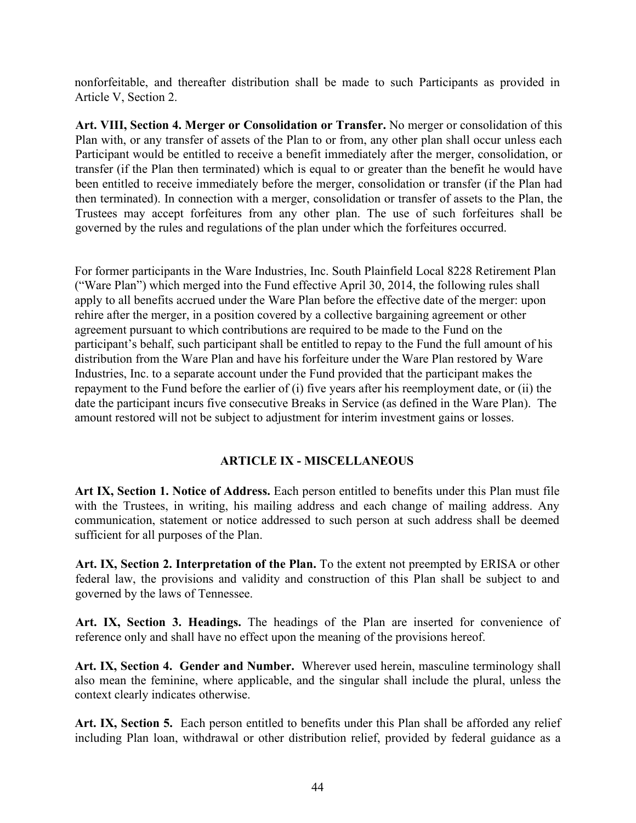<span id="page-44-2"></span>nonforfeitable, and thereafter distribution shall be made to such Participants as provided in Article V, Section 2.

<span id="page-44-0"></span>**Art. VIII, Section 4. Merger or Consolidation or Transfer.** No merger or consolidation of this Plan with, or any transfer of assets of the Plan to or from, any other plan shall occur unless each Participant would be entitled to receive a benefit immediately after the merger, consolidation, or transfer (if the Plan then terminated) which is equal to or greater than the benefit he would have been entitled to receive immediately before the merger, consolidation or transfer (if the Plan had then terminated). In connection with a merger, consolidation or transfer of assets to the Plan, the Trustees may accept forfeitures from any other plan. The use of such forfeitures shall be governed by the rules and regulations of the plan under which the forfeitures occurred.

For former participants in the Ware Industries, Inc. South Plainfield Local 8228 Retirement Plan ("Ware Plan") which merged into the Fund effective April 30, 2014, the following rules shall apply to all benefits accrued under the Ware Plan before the effective date of the merger: upon rehire after the merger, in a position covered by a collective bargaining agreement or other agreement pursuant to which contributions are required to be made to the Fund on the participant's behalf, such participant shall be entitled to repay to the Fund the full amount of his distribution from the Ware Plan and have his forfeiture under the Ware Plan restored by Ware Industries, Inc. to a separate account under the Fund provided that the participant makes the repayment to the Fund before the earlier of (i) five years after his reemployment date, or (ii) the date the participant incurs five consecutive Breaks in Service (as defined in the Ware Plan). The amount restored will not be subject to adjustment for interim investment gains or losses.

# **ARTICLE IX - MISCELLANEOUS**

<span id="page-44-3"></span><span id="page-44-1"></span>**Art IX, Section 1. Notice of Address.** Each person entitled to benefits under this Plan must file with the Trustees, in writing, his mailing address and each change of mailing address. Any communication, statement or notice addressed to such person at such address shall be deemed sufficient for all purposes of the Plan.

<span id="page-44-4"></span>**Art. IX, Section 2. Interpretation of the Plan.** To the extent not preempted by ERISA or other federal law, the provisions and validity and construction of this Plan shall be subject to and governed by the laws of Tennessee.

<span id="page-44-5"></span>**Art. IX, Section 3. Headings.** The headings of the Plan are inserted for convenience of reference only and shall have no effect upon the meaning of the provisions hereof.

<span id="page-44-6"></span>**Art. IX, Section 4. Gender and Number.** Wherever used herein, masculine terminology shall also mean the feminine, where applicable, and the singular shall include the plural, unless the context clearly indicates otherwise.

<span id="page-44-7"></span>**Art. IX, Section 5.** Each person entitled to benefits under this Plan shall be afforded any relief including Plan loan, withdrawal or other distribution relief, provided by federal guidance as a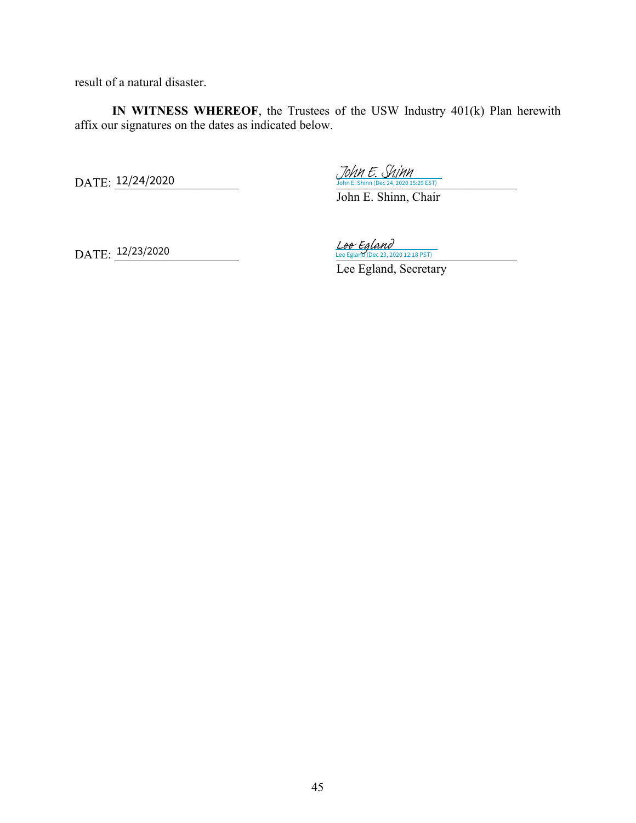result of a natural disaster.

**IN WITNESS WHEREOF**, the Trustees of the USW Industry 401(k) Plan herewith affix our signatures on the dates as indicated below.

 $\text{DATE: } \frac{12/24/2020}{20 \text{ h} \cdot \text{E} \cdot \text{Shinn} \cdot (\text{Dec } 24, 2020 \text{ 15:29 EST})}$ DATE: 12/24/2020

John E. Shinn

John E. Shinn, Chair

DATE: 12/23/2020

 $\text{DATE: } \frac{12/23/2020}{2}$   $\frac{\text{Lee } \text{Egland}}{\text{Lee } \text{Egland}}$  (Dec 23, 2020 12:18 PST)

Lee Egland, Secretary